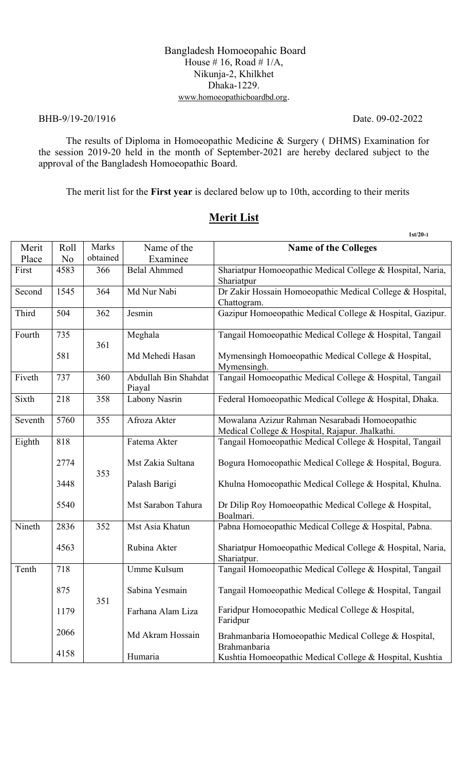#### Bangladesh Homoeopahic Board House # 16, Road #  $1/A$ , Nikunja-2, Khilkhet Dhaka-1229. www.homoeopathicboardbd.org.

#### BHB-9/19-20/1916 Date. 09-02-2022

The results of Diploma in Homoeopathic Medicine & Surgery ( DHMS) Examination for the session 2019-20 held in the month of September-2021 are hereby declared subject to the approval of the Bangladesh Homoeopathic Board.

The merit list for the **First year** is declared below up to 10th, according to their merits

|         |                |          |                                | $1st/20-1$                                                                                        |
|---------|----------------|----------|--------------------------------|---------------------------------------------------------------------------------------------------|
| Merit   | Roll           | Marks    | Name of the                    | <b>Name of the Colleges</b>                                                                       |
| Place   | N <sub>o</sub> | obtained | Examinee                       |                                                                                                   |
| First   | 4583           | 366      | <b>Belal Ahmmed</b>            | Shariatpur Homoeopathic Medical College & Hospital, Naria,<br>Shariatpur                          |
| Second  | 1545           | 364      | Md Nur Nabi                    | Dr Zakir Hossain Homoeopathic Medical College & Hospital,<br>Chattogram.                          |
| Third   | 504            | 362      | Jesmin                         | Gazipur Homoeopathic Medical College & Hospital, Gazipur.                                         |
| Fourth  | 735            | 361      | Meghala                        | Tangail Homoeopathic Medical College & Hospital, Tangail                                          |
|         | 581            |          | Md Mehedi Hasan                | Mymensingh Homoeopathic Medical College & Hospital,<br>Mymensingh.                                |
| Fiveth  | 737            | 360      | Abdullah Bin Shahdat<br>Piayal | Tangail Homoeopathic Medical College & Hospital, Tangail                                          |
| Sixth   | 218            | 358      | Labony Nasrin                  | Federal Homoeopathic Medical College & Hospital, Dhaka.                                           |
| Seventh | 5760           | 355      | Afroza Akter                   | Mowalana Azizur Rahman Nesarabadi Homoeopathic<br>Medical College & Hospital, Rajapur. Jhalkathi. |
| Eighth  | 818            |          | Fatema Akter                   | Tangail Homoeopathic Medical College & Hospital, Tangail                                          |
|         | 2774           | 353      | Mst Zakia Sultana              | Bogura Homoeopathic Medical College & Hospital, Bogura.                                           |
|         | 3448           |          | Palash Barigi                  | Khulna Homoeopathic Medical College & Hospital, Khulna.                                           |
|         | 5540           |          | Mst Sarabon Tahura             | Dr Dilip Roy Homoeopathic Medical College & Hospital,<br>Boalmari.                                |
| Nineth  | 2836           | 352      | Mst Asia Khatun                | Pabna Homoeopathic Medical College & Hospital, Pabna.                                             |
|         | 4563           |          | Rubina Akter                   | Shariatpur Homoeopathic Medical College & Hospital, Naria,<br>Shariatpur.                         |
| Tenth   | 718            |          | Umme Kulsum                    | Tangail Homoeopathic Medical College & Hospital, Tangail                                          |
|         | 875            | 351      | Sabina Yesmain                 | Tangail Homoeopathic Medical College & Hospital, Tangail                                          |
|         | 1179           |          | Farhana Alam Liza              | Faridpur Homoeopathic Medical College & Hospital,<br>Faridpur                                     |
|         | 2066           |          | Md Akram Hossain               | Brahmanbaria Homoeopathic Medical College & Hospital,<br>Brahmanbaria                             |
|         | 4158           |          | Humaria                        | Kushtia Homoeopathic Medical College & Hospital, Kushtia                                          |

#### **Merit List**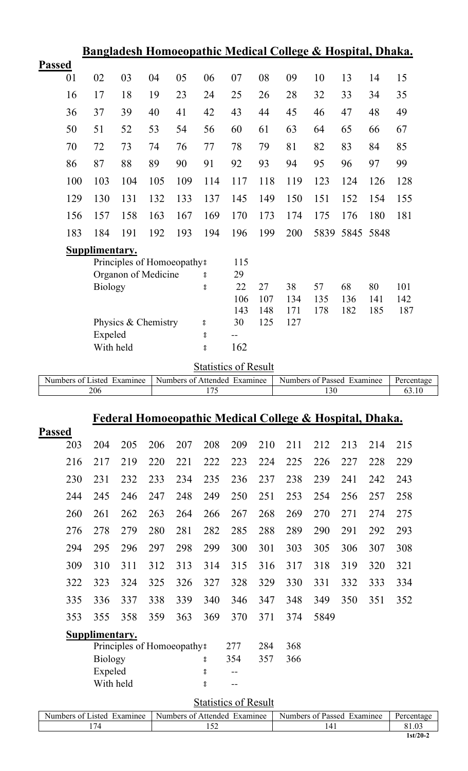|                            |                      |                            |     |     |                                          |                              |            |            | <u> Bangladesh Homoeopathic Medical College &amp; Hospital, Dhaka.</u> |      |      |            |
|----------------------------|----------------------|----------------------------|-----|-----|------------------------------------------|------------------------------|------------|------------|------------------------------------------------------------------------|------|------|------------|
| <b>Passed</b>              |                      |                            |     |     |                                          |                              |            |            |                                                                        |      |      |            |
| 01                         | 02                   | 03                         | 04  | 05  | 06                                       | 07                           | 08         | 09         | 10                                                                     | 13   | 14   | 15         |
| 16                         | 17                   | 18                         | 19  | 23  | 24                                       | 25                           | 26         | 28         | 32                                                                     | 33   | 34   | 35         |
| 36                         | 37                   | 39                         | 40  | 41  | 42                                       | 43                           | 44         | 45         | 46                                                                     | 47   | 48   | 49         |
| 50                         | 51                   | 52                         | 53  | 54  | 56                                       | 60                           | 61         | 63         | 64                                                                     | 65   | 66   | 67         |
| 70                         | 72                   | 73                         | 74  | 76  | 77                                       | 78                           | 79         | 81         | 82                                                                     | 83   | 84   | 85         |
| 86                         | 87                   | 88                         | 89  | 90  | 91                                       | 92                           | 93         | 94         | 95                                                                     | 96   | 97   | 99         |
| 100                        | 103                  | 104                        | 105 | 109 | 114                                      | 117                          | 118        | 119        | 123                                                                    | 124  | 126  | 128        |
| 129                        | 130                  | 131                        | 132 | 133 | 137                                      | 145                          | 149        | 150        | 151                                                                    | 152  | 154  | 155        |
| 156                        | 157                  | 158                        | 163 | 167 | 169                                      | 170                          | 173        | 174        | 175                                                                    | 176  | 180  | 181        |
| 183                        | 184                  | 191                        | 192 | 193 | 194                                      | 196                          | 199        | 200        | 5839                                                                   | 5845 | 5848 |            |
|                            | Supplimentary.       |                            |     |     |                                          |                              |            |            |                                                                        |      |      |            |
|                            |                      | Principles of Homoeopathy? |     |     |                                          | 115                          |            |            |                                                                        |      |      |            |
|                            | <b>Biology</b>       | Organon of Medicine        |     |     | 8<br>$^{\circ}_{\circ}$                  | 29<br>22                     | 27         | 38         | 57                                                                     | 68   | 80   | 101        |
|                            |                      |                            |     |     |                                          | 106                          | 107        | 134        | 135                                                                    | 136  | 141  | 142        |
|                            |                      |                            |     |     |                                          | 143                          | 148        | 171        | 178                                                                    | 182  | 185  | 187        |
|                            |                      | Physics & Chemistry        |     |     | °                                        | 30                           | 125        | 127        |                                                                        |      |      |            |
|                            | Expeled<br>With held |                            |     |     | $^{\circ}_{\circ}$<br>$^{\circ}_{\rm o}$ | $-$ -<br>162                 |            |            |                                                                        |      |      |            |
|                            |                      |                            |     |     |                                          | <b>Statistics of Result</b>  |            |            |                                                                        |      |      |            |
|                            |                      |                            |     |     |                                          |                              |            |            |                                                                        |      |      |            |
| Numbers of Listed Examinee |                      |                            |     |     |                                          | Numbers of Attended Examinee |            |            | Numbers of Passed Examinee                                             |      |      | Percentage |
|                            | 206                  |                            |     |     | 175                                      |                              |            |            | 130                                                                    |      |      | 63.10      |
|                            |                      |                            |     |     |                                          |                              |            |            |                                                                        |      |      |            |
|                            |                      |                            |     |     |                                          |                              |            |            | <u>Federal Homoeopathic Medical College &amp; Hospital, Dhaka.</u>     |      |      |            |
| 203                        | 204                  | 205                        | 206 | 207 | 208                                      | 209                          | 210        | 211        | 212                                                                    | 213  | 214  | 215        |
| <b>Passed</b><br>216       | 217                  | 219                        | 220 | 221 | 222                                      | 223                          | 224        | 225        | 226                                                                    | 227  | 228  | 229        |
| 230                        | 231                  | 232                        | 233 | 234 | 235                                      | 236                          | 237        | 238        | 239                                                                    | 241  | 242  | 243        |
| 244                        | 245                  | 246                        | 247 | 248 | 249                                      | 250                          | 251        | 253        | 254                                                                    | 256  | 257  | 258        |
| 260                        | 261                  | 262                        | 263 | 264 | 266                                      | 267                          | 268        | 269        | 270                                                                    | 271  | 274  | 275        |
| 276                        | 278                  | 279                        | 280 | 281 | 282                                      | 285                          | 288        | 289        | 290                                                                    | 291  | 292  | 293        |
| 294                        | 295                  | 296                        |     | 298 | 299                                      | 300                          | 301        | 303        | 305                                                                    | 306  | 307  | 308        |
|                            |                      |                            | 297 |     |                                          |                              |            |            |                                                                        |      |      |            |
| 309                        | 310                  | 311                        | 312 | 313 | 314                                      | 315                          | 316        | 317        | 318                                                                    | 319  | 320  | 321        |
| 322                        | 323                  | 324                        | 325 | 326 | 327                                      | 328                          | 329        | 330        | 331                                                                    | 332  | 333  | 334        |
| 335                        | 336                  | 337                        | 338 | 339 | 340                                      | 346                          | 347        | 348        | 349                                                                    | 350  | 351  | 352        |
| 353                        | 355                  | 358                        | 359 | 363 | 369                                      | 370                          | 371        | 374        | 5849                                                                   |      |      |            |
|                            | Supplimentary.       |                            |     |     |                                          |                              |            |            |                                                                        |      |      |            |
|                            | <b>Biology</b>       | Principles of Homoeopathy? |     |     | 8                                        | 277<br>354                   | 284<br>357 | 368<br>366 |                                                                        |      |      |            |
|                            | Expeled              |                            |     |     | $^{\circ}_{\circ}$                       | $-$                          |            |            |                                                                        |      |      |            |
|                            | With held            |                            |     |     | $^{\circ}_{\circ}$                       | $-$                          |            |            |                                                                        |      |      |            |

| $\sim$ $-$<br>Examinee<br><b>Numbers</b><br>usted.<br>nt i | Numbers of<br>Examinee<br>Affended | Numbers of<br>Examinee<br>Passed | Percent |
|------------------------------------------------------------|------------------------------------|----------------------------------|---------|
|                                                            | 2 J 4                              |                                  |         |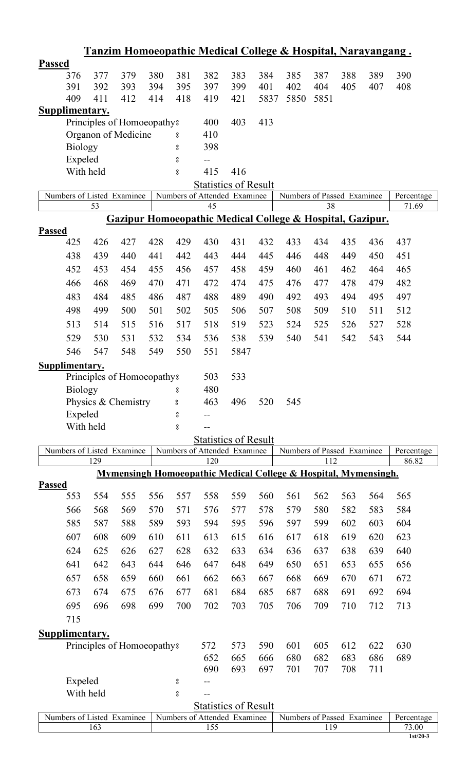|                       |                |     |                            |     |                    |                                                             |      |      | <u>Tanzim Homoeopathic Medical College &amp; Hospital, Narayangang.</u>    |      |     |     |                     |
|-----------------------|----------------|-----|----------------------------|-----|--------------------|-------------------------------------------------------------|------|------|----------------------------------------------------------------------------|------|-----|-----|---------------------|
| <b>Passed</b>         |                |     |                            |     |                    |                                                             |      |      |                                                                            |      |     |     |                     |
|                       | 376            | 377 | 379                        | 380 | 381                | 382                                                         | 383  | 384  | 385                                                                        | 387  | 388 | 389 | 390                 |
|                       | 391            | 392 | 393                        | 394 | 395                | 397                                                         | 399  | 401  | 402                                                                        | 404  | 405 | 407 | 408                 |
|                       | 409            | 411 | 412                        | 414 | 418                | 419                                                         | 421  | 5837 | 5850                                                                       | 5851 |     |     |                     |
| <b>Supplimentary.</b> |                |     |                            |     |                    |                                                             |      |      |                                                                            |      |     |     |                     |
|                       |                |     | Principles of Homoeopathy? |     |                    | 400                                                         | 403  | 413  |                                                                            |      |     |     |                     |
|                       |                |     | Organon of Medicine        |     | $\rm ^o$           | 410                                                         |      |      |                                                                            |      |     |     |                     |
|                       | <b>Biology</b> |     |                            |     | $\rm ^o$           | 398                                                         |      |      |                                                                            |      |     |     |                     |
|                       | Expeled        |     |                            |     | $\rm ^o$           |                                                             |      |      |                                                                            |      |     |     |                     |
|                       | With held      |     |                            |     | $^{\circ}_{\circ}$ | 415                                                         | 416  |      |                                                                            |      |     |     |                     |
|                       |                |     | Numbers of Listed Examinee |     |                    | <b>Statistics of Result</b><br>Numbers of Attended Examinee |      |      | Numbers of Passed Examinee                                                 |      |     |     | Percentage          |
|                       |                | 53  |                            |     |                    | 45                                                          |      |      |                                                                            | 38   |     |     | 71.69               |
|                       |                |     |                            |     |                    |                                                             |      |      | <b>Gazipur Homoeopathic Medical College &amp; Hospital, Gazipur.</b>       |      |     |     |                     |
| <b>Passed</b>         |                |     |                            |     |                    |                                                             |      |      |                                                                            |      |     |     |                     |
|                       | 425            | 426 | 427                        | 428 | 429                | 430                                                         | 431  | 432  | 433                                                                        | 434  | 435 | 436 | 437                 |
|                       | 438            | 439 | 440                        | 441 | 442                | 443                                                         | 444  | 445  | 446                                                                        | 448  | 449 | 450 | 451                 |
|                       | 452            | 453 | 454                        | 455 | 456                | 457                                                         | 458  | 459  | 460                                                                        | 461  | 462 | 464 | 465                 |
|                       | 466            | 468 | 469                        | 470 | 471                | 472                                                         | 474  | 475  | 476                                                                        | 477  | 478 | 479 | 482                 |
|                       | 483            | 484 | 485                        | 486 | 487                | 488                                                         | 489  | 490  | 492                                                                        | 493  | 494 | 495 | 497                 |
|                       | 498            | 499 | 500                        | 501 | 502                | 505                                                         | 506  | 507  | 508                                                                        | 509  | 510 | 511 | 512                 |
|                       | 513            | 514 | 515                        | 516 | 517                | 518                                                         | 519  | 523  | 524                                                                        | 525  | 526 | 527 | 528                 |
|                       | 529            | 530 | 531                        | 532 | 534                | 536                                                         | 538  | 539  | 540                                                                        | 541  | 542 | 543 | 544                 |
|                       |                |     |                            |     |                    |                                                             |      |      |                                                                            |      |     |     |                     |
|                       | 546            | 547 | 548                        | 549 | 550                | 551                                                         | 5847 |      |                                                                            |      |     |     |                     |
| Supplimentary.        |                |     |                            |     |                    | 503                                                         | 533  |      |                                                                            |      |     |     |                     |
|                       | <b>Biology</b> |     | Principles of Homoeopathy? |     | $\rm ^o$           | 480                                                         |      |      |                                                                            |      |     |     |                     |
|                       |                |     | Physics & Chemistry        |     | 8                  | 463                                                         | 496  | 520  | 545                                                                        |      |     |     |                     |
|                       | Expeled        |     |                            |     | $\rm ^o$           | $-$ -                                                       |      |      |                                                                            |      |     |     |                     |
|                       | With held      |     |                            |     | $\rm ^o$           |                                                             |      |      |                                                                            |      |     |     |                     |
|                       |                |     |                            |     |                    | Statistics of Result                                        |      |      |                                                                            |      |     |     |                     |
|                       |                |     | Numbers of Listed Examinee |     |                    | Numbers of Attended Examinee                                |      |      | Numbers of Passed Examinee                                                 |      |     |     | Percentage          |
|                       |                | 129 |                            |     |                    | 120                                                         |      |      |                                                                            | 112  |     |     | 86.82               |
|                       |                |     |                            |     |                    |                                                             |      |      | <b>Mymensingh Homoeopathic Medical College &amp; Hospital, Mymensingh.</b> |      |     |     |                     |
| <b>Passed</b>         |                |     |                            |     |                    |                                                             |      |      |                                                                            |      |     |     |                     |
|                       | 553            | 554 | 555                        | 556 | 557                | 558                                                         | 559  | 560  | 561                                                                        | 562  | 563 | 564 | 565                 |
|                       | 566            | 568 | 569                        | 570 | 571                | 576                                                         | 577  | 578  | 579                                                                        | 580  | 582 | 583 | 584                 |
|                       | 585            | 587 | 588                        | 589 | 593                | 594                                                         | 595  | 596  | 597                                                                        | 599  | 602 | 603 | 604                 |
|                       | 607            | 608 | 609                        | 610 | 611                | 613                                                         | 615  | 616  | 617                                                                        | 618  | 619 | 620 | 623                 |
|                       | 624            | 625 | 626                        | 627 | 628                | 632                                                         | 633  | 634  | 636                                                                        | 637  | 638 | 639 | 640                 |
|                       | 641            | 642 | 643                        | 644 | 646                | 647                                                         | 648  | 649  | 650                                                                        | 651  | 653 | 655 | 656                 |
|                       | 657            | 658 | 659                        | 660 | 661                | 662                                                         | 663  | 667  | 668                                                                        | 669  | 670 | 671 | 672                 |
|                       | 673            | 674 | 675                        | 676 | 677                | 681                                                         | 684  | 685  | 687                                                                        | 688  | 691 | 692 | 694                 |
|                       | 695            | 696 | 698                        | 699 | 700                | 702                                                         | 703  | 705  | 706                                                                        | 709  | 710 | 712 | 713                 |
|                       | 715            |     |                            |     |                    |                                                             |      |      |                                                                            |      |     |     |                     |
| <b>Supplimentary.</b> |                |     |                            |     |                    |                                                             |      |      |                                                                            |      |     |     |                     |
|                       |                |     | Principles of Homoeopathy: |     |                    | 572                                                         | 573  | 590  | 601                                                                        | 605  | 612 | 622 | 630                 |
|                       |                |     |                            |     |                    | 652                                                         | 665  | 666  | 680                                                                        | 682  | 683 | 686 | 689                 |
|                       |                |     |                            |     |                    | 690                                                         | 693  | 697  | 701                                                                        | 707  | 708 | 711 |                     |
|                       | Expeled        |     |                            |     | $\rm ^o$           |                                                             |      |      |                                                                            |      |     |     |                     |
|                       | With held      |     |                            |     | $\rm ^o$           |                                                             |      |      |                                                                            |      |     |     |                     |
|                       |                |     |                            |     |                    | <b>Statistics of Result</b>                                 |      |      |                                                                            |      |     |     |                     |
|                       |                | 163 | Numbers of Listed Examinee |     |                    | Numbers of Attended Examinee<br>155                         |      |      | Numbers of Passed Examinee                                                 | 119  |     |     | Percentage<br>73.00 |
|                       |                |     |                            |     |                    |                                                             |      |      |                                                                            |      |     |     | $1st/20-3$          |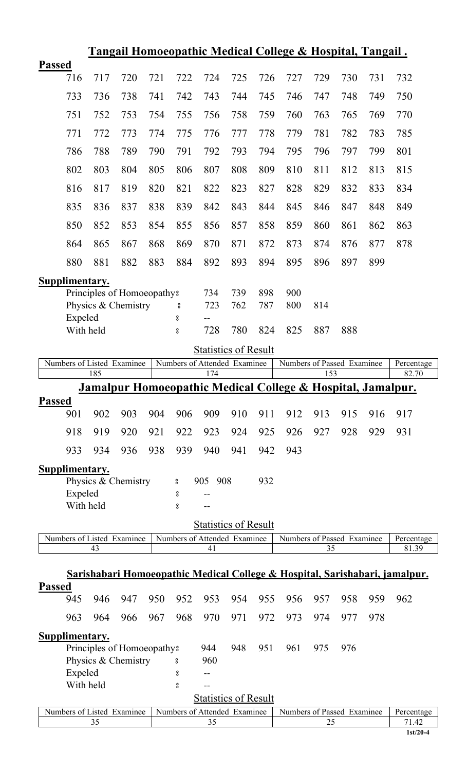|               |                       |     |                            |     |                    |                                                             |     |     | <u> Tangail Homoeopathic Medical College &amp; Hospital, Tangail.</u>  |     |     |     |                                                                                        |
|---------------|-----------------------|-----|----------------------------|-----|--------------------|-------------------------------------------------------------|-----|-----|------------------------------------------------------------------------|-----|-----|-----|----------------------------------------------------------------------------------------|
| <b>Passed</b> |                       |     |                            |     |                    |                                                             |     |     |                                                                        |     |     |     |                                                                                        |
|               | 716                   | 717 | 720                        | 721 | 722                | 724                                                         | 725 | 726 | 727                                                                    | 729 | 730 | 731 | 732                                                                                    |
|               | 733                   | 736 | 738                        | 741 | 742                | 743                                                         | 744 | 745 | 746                                                                    | 747 | 748 | 749 | 750                                                                                    |
|               | 751                   | 752 | 753                        | 754 | 755                | 756                                                         | 758 | 759 | 760                                                                    | 763 | 765 | 769 | 770                                                                                    |
|               | 771                   | 772 | 773                        | 774 | 775                | 776                                                         | 777 | 778 | 779                                                                    | 781 | 782 | 783 | 785                                                                                    |
|               | 786                   | 788 | 789                        | 790 | 791                | 792                                                         | 793 | 794 | 795                                                                    | 796 | 797 | 799 | 801                                                                                    |
|               | 802                   | 803 | 804                        | 805 | 806                | 807                                                         | 808 | 809 | 810                                                                    | 811 | 812 | 813 | 815                                                                                    |
|               | 816                   | 817 | 819                        | 820 | 821                | 822                                                         | 823 | 827 | 828                                                                    | 829 | 832 | 833 | 834                                                                                    |
|               | 835                   | 836 | 837                        | 838 | 839                | 842                                                         | 843 | 844 | 845                                                                    | 846 | 847 | 848 | 849                                                                                    |
|               | 850                   | 852 | 853                        | 854 | 855                | 856                                                         | 857 | 858 | 859                                                                    | 860 | 861 | 862 | 863                                                                                    |
|               | 864                   | 865 | 867                        | 868 | 869                | 870                                                         | 871 | 872 | 873                                                                    | 874 | 876 | 877 | 878                                                                                    |
|               | 880                   | 881 | 882                        | 883 | 884                | 892                                                         | 893 | 894 | 895                                                                    | 896 | 897 | 899 |                                                                                        |
|               | <b>Supplimentary.</b> |     |                            |     |                    |                                                             |     |     |                                                                        |     |     |     |                                                                                        |
|               |                       |     | Principles of Homoeopathy? |     |                    | 734                                                         | 739 | 898 | 900                                                                    |     |     |     |                                                                                        |
|               |                       |     | Physics & Chemistry        |     | °                  | 723                                                         | 762 | 787 | 800                                                                    | 814 |     |     |                                                                                        |
|               | Expeled               |     |                            |     | 8                  |                                                             |     |     |                                                                        |     |     |     |                                                                                        |
|               | With held             |     |                            |     | $\rm ^o$           | 728                                                         | 780 | 824 | 825                                                                    | 887 | 888 |     |                                                                                        |
|               |                       |     |                            |     |                    | <b>Statistics of Result</b>                                 |     |     |                                                                        |     |     |     |                                                                                        |
|               |                       | 185 | Numbers of Listed Examinee |     |                    | Numbers of Attended Examinee<br>174                         |     |     | Numbers of Passed Examinee                                             | 153 |     |     | Percentage<br>82.70                                                                    |
|               |                       |     |                            |     |                    |                                                             |     |     |                                                                        |     |     |     |                                                                                        |
|               |                       |     |                            |     |                    |                                                             |     |     |                                                                        |     |     |     |                                                                                        |
|               |                       |     |                            |     |                    |                                                             |     |     | <u>Jamalpur Homoeopathic Medical College &amp; Hospital, Jamalpur.</u> |     |     |     |                                                                                        |
| <b>Passed</b> | 901                   | 902 | 903                        | 904 | 906                | 909                                                         | 910 | 911 | 912                                                                    | 913 | 915 | 916 | 917                                                                                    |
|               | 918                   | 919 | 920                        | 921 | 922                | 923                                                         | 924 | 925 | 926                                                                    | 927 | 928 | 929 | 931                                                                                    |
|               | 933                   | 934 | 936                        | 938 | 939                | 940                                                         | 941 | 942 | 943                                                                    |     |     |     |                                                                                        |
|               |                       |     |                            |     |                    |                                                             |     |     |                                                                        |     |     |     |                                                                                        |
|               | <b>Supplimentary.</b> |     | Physics & Chemistry        |     | °                  | 908<br>905                                                  |     | 932 |                                                                        |     |     |     |                                                                                        |
|               | Expeled               |     |                            |     | °                  |                                                             |     |     |                                                                        |     |     |     |                                                                                        |
|               | With held             |     |                            |     | $^{\circ}_{\circ}$ |                                                             |     |     |                                                                        |     |     |     |                                                                                        |
|               |                       |     |                            |     |                    | <b>Statistics of Result</b>                                 |     |     |                                                                        |     |     |     |                                                                                        |
|               |                       |     | Numbers of Listed Examinee |     |                    | Numbers of Attended Examinee                                |     |     | Numbers of Passed Examinee                                             |     |     |     | Percentage                                                                             |
|               |                       | 43  |                            |     |                    | 41                                                          |     |     |                                                                        | 35  |     |     | 81.39                                                                                  |
|               |                       |     |                            |     |                    |                                                             |     |     |                                                                        |     |     |     | <u>Sarishabari Homoeopathic Medical College &amp; Hospital, Sarishabari, jamalpur.</u> |
| <b>Passed</b> |                       |     |                            |     |                    |                                                             |     |     |                                                                        |     |     |     |                                                                                        |
|               | 945                   | 946 | 947                        | 950 | 952                | 953                                                         | 954 | 955 | 956                                                                    | 957 | 958 | 959 | 962                                                                                    |
|               | 963                   | 964 | 966                        | 967 | 968                | 970                                                         | 971 | 972 | 973                                                                    | 974 | 977 | 978 |                                                                                        |
|               | Supplimentary.        |     |                            |     |                    |                                                             |     |     |                                                                        |     |     |     |                                                                                        |
|               |                       |     | Principles of Homoeopathy? |     |                    | 944                                                         | 948 | 951 | 961                                                                    | 975 | 976 |     |                                                                                        |
|               |                       |     | Physics & Chemistry        |     | °                  | 960                                                         |     |     |                                                                        |     |     |     |                                                                                        |
|               | Expeled               |     |                            |     | °                  | $-1$                                                        |     |     |                                                                        |     |     |     |                                                                                        |
|               | With held             |     |                            |     | 8                  | $- -$                                                       |     |     |                                                                        |     |     |     |                                                                                        |
|               |                       |     | Numbers of Listed Examinee |     |                    | <b>Statistics of Result</b><br>Numbers of Attended Examinee |     |     | Numbers of Passed Examinee                                             |     |     |     | Percentage                                                                             |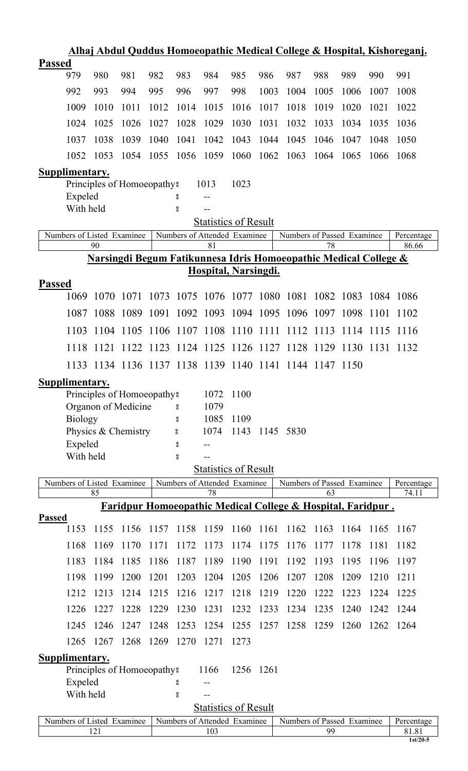|                       |                |      |                                        |      |                              |              |                             |      |                                                                             |      |           |      | <u>Alhaj Abdul Quddus Homoeopathic Medical College &amp; Hospital, Kishoreganj.</u> |
|-----------------------|----------------|------|----------------------------------------|------|------------------------------|--------------|-----------------------------|------|-----------------------------------------------------------------------------|------|-----------|------|-------------------------------------------------------------------------------------|
| <b>Passed</b>         |                |      |                                        |      |                              |              |                             |      |                                                                             |      |           |      |                                                                                     |
|                       | 979            | 980  | 981                                    | 982  | 983                          | 984          | 985                         | 986  | 987                                                                         | 988  | 989       | 990  | 991                                                                                 |
|                       | 992            | 993  | 994                                    | 995  | 996                          | 997          | 998                         | 1003 | 1004                                                                        | 1005 | 1006      | 1007 | 1008                                                                                |
|                       | 1009           | 1010 | 1011                                   | 1012 | 1014                         | 1015         | 1016                        | 1017 | 1018                                                                        | 1019 | 1020      | 1021 | 1022                                                                                |
|                       | 1024           | 1025 | 1026                                   | 1027 | 1028                         | 1029         | 1030                        | 1031 | 1032                                                                        | 1033 | 1034      | 1035 | 1036                                                                                |
|                       | 1037           | 1038 | 1039                                   | 1040 | 1041                         | 1042         | 1043                        | 1044 | 1045                                                                        | 1046 | 1047      | 1048 | 1050                                                                                |
|                       | 1052           | 1053 | 1054                                   | 1055 | 1056                         | 1059         | 1060                        | 1062 | 1063                                                                        | 1064 | 1065      | 1066 | 1068                                                                                |
| Supplimentary.        |                |      |                                        |      |                              |              |                             |      |                                                                             |      |           |      |                                                                                     |
|                       | Expeled        |      | Principles of Homoeopathy <sup>8</sup> |      |                              | 1013         | 1023                        |      |                                                                             |      |           |      |                                                                                     |
|                       | With held      |      |                                        |      | 8<br>8                       | --           |                             |      |                                                                             |      |           |      |                                                                                     |
|                       |                |      |                                        |      |                              |              | <b>Statistics of Result</b> |      |                                                                             |      |           |      |                                                                                     |
|                       |                |      | Numbers of Listed Examinee             |      | Numbers of Attended Examinee |              |                             |      | Numbers of Passed Examinee                                                  |      |           |      | Percentage                                                                          |
|                       |                | 90   |                                        |      |                              | 81           |                             |      | <u>Narsingdi Begum Fatikunnesa Idris Homoeopathic Medical College &amp;</u> | 78   |           |      | 86.66                                                                               |
|                       |                |      |                                        |      |                              |              | Hospital, Narsingdi.        |      |                                                                             |      |           |      |                                                                                     |
| <b>Passed</b>         |                |      |                                        |      |                              |              |                             |      |                                                                             |      |           |      |                                                                                     |
|                       | 1069           | 1070 | 1071                                   | 1073 | 1075                         |              |                             |      | 1076 1077 1080 1081 1082 1083 1084 1086                                     |      |           |      |                                                                                     |
|                       | 1087           | 1088 | 1089                                   | 1091 |                              | 1092 1093    | 1094 1095                   |      | 1096 1097 1098                                                              |      |           | 1101 | 1102                                                                                |
|                       | 1103           | 1104 | 1105                                   |      | 1106 1107 1108 1110          |              |                             | 1111 | 1112 1113                                                                   |      | 1114 1115 |      | 1116                                                                                |
|                       | 1118           | 1121 |                                        |      |                              |              |                             |      | 1122 1123 1124 1125 1126 1127 1128 1129 1130 1131 1132                      |      |           |      |                                                                                     |
|                       |                |      |                                        |      |                              |              |                             |      | 1133 1134 1136 1137 1138 1139 1140 1141 1144 1147 1150                      |      |           |      |                                                                                     |
| Supplimentary.        |                |      |                                        |      |                              |              |                             |      |                                                                             |      |           |      |                                                                                     |
|                       |                |      | Principles of Homoeopathy?             |      |                              | 1072         | 1100                        |      |                                                                             |      |           |      |                                                                                     |
|                       |                |      | Organon of Medicine                    |      | 8                            | 1079         |                             |      |                                                                             |      |           |      |                                                                                     |
|                       | <b>Biology</b> |      | Physics & Chemistry                    |      | °<br>8                       | 1085<br>1074 | 1109<br>1143                |      | 1145 5830                                                                   |      |           |      |                                                                                     |
|                       | Expeled        |      |                                        |      | 8                            |              |                             |      |                                                                             |      |           |      |                                                                                     |
|                       | With held      |      |                                        |      | °                            |              |                             |      |                                                                             |      |           |      |                                                                                     |
|                       |                |      |                                        |      |                              |              | <b>Statistics of Result</b> |      |                                                                             |      |           |      |                                                                                     |
|                       |                | 85   | Numbers of Listed Examinee             |      | Numbers of Attended Examinee | 78           |                             |      | Numbers of Passed Examinee                                                  | 63   |           |      | Percentage<br>74.11                                                                 |
|                       |                |      |                                        |      |                              |              |                             |      | Faridpur Homoeopathic Medical College & Hospital, Faridpur.                 |      |           |      |                                                                                     |
| <b>Passed</b>         |                |      |                                        |      |                              |              |                             |      |                                                                             |      |           |      |                                                                                     |
|                       | 1153           | 1155 | 1156                                   | 1157 | 1158                         | 1159         | 1160                        | 1161 | 1162                                                                        | 1163 | 1164      | 1165 | 1167                                                                                |
|                       | 1168           | 1169 | 1170                                   | 1171 | 1172                         | 1173         | 1174                        | 1175 | 1176                                                                        | 1177 | 1178      | 1181 | 1182                                                                                |
|                       | 1183           | 1184 | 1185                                   | 1186 | 1187                         | 1189         | 1190                        | 1191 | 1192                                                                        | 1193 | 1195      | 1196 | 1197                                                                                |
|                       | 1198           | 1199 | 1200                                   | 1201 | 1203                         | 1204         | 1205                        | 1206 | 1207                                                                        | 1208 | 1209      | 1210 | 1211                                                                                |
|                       | 1212           | 1213 | 1214                                   | 1215 | 1216                         | 1217         | 1218                        | 1219 | 1220                                                                        | 1222 | 1223      | 1224 | 1225                                                                                |
|                       | 1226           | 1227 | 1228                                   | 1229 | 1230                         | 1231         | 1232                        | 1233 | 1234                                                                        | 1235 | 1240      | 1242 | 1244                                                                                |
|                       | 1245           | 1246 | 1247                                   | 1248 | 1253                         | 1254         | 1255                        | 1257 | 1258                                                                        | 1259 | 1260      | 1262 | 1264                                                                                |
|                       | 1265           | 1267 | 1268                                   | 1269 | 1270                         | 1271         | 1273                        |      |                                                                             |      |           |      |                                                                                     |
| <b>Supplimentary.</b> |                |      |                                        |      |                              |              |                             |      |                                                                             |      |           |      |                                                                                     |
|                       | Expeled        |      | Principles of Homoeopathy?             |      | 8                            | 1166         | 1256 1261                   |      |                                                                             |      |           |      |                                                                                     |
|                       | With held      |      |                                        |      | 8                            |              |                             |      |                                                                             |      |           |      |                                                                                     |
|                       |                |      |                                        |      |                              |              | <b>Statistics of Result</b> |      |                                                                             |      |           |      |                                                                                     |
|                       |                | 121  | Numbers of Listed Examinee             |      | Numbers of Attended Examinee | 103          |                             |      | Numbers of Passed Examinee                                                  | 99   |           |      | Percentage<br>81.81                                                                 |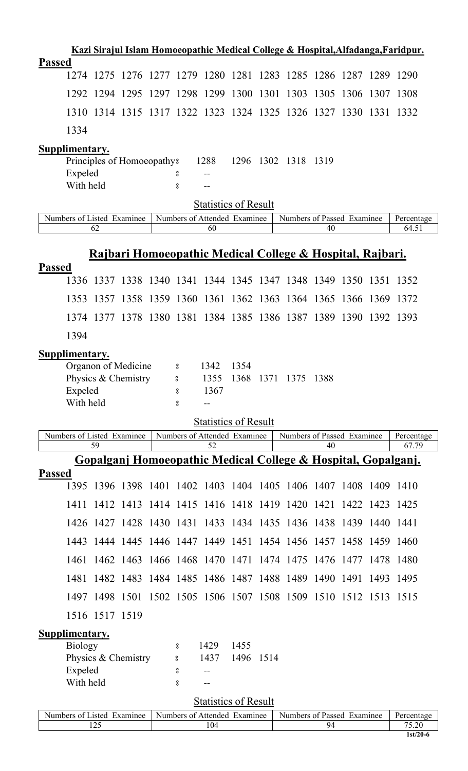|               |                |                |                                            |                     |                                    |              |      |                                                                  |       |       |           | Kazi Sirajul Islam Homoeopathic Medical College & Hospital, Alfadanga, Faridpur. |
|---------------|----------------|----------------|--------------------------------------------|---------------------|------------------------------------|--------------|------|------------------------------------------------------------------|-------|-------|-----------|----------------------------------------------------------------------------------|
| <b>Passed</b> |                |                |                                            |                     |                                    |              |      |                                                                  |       |       |           |                                                                                  |
|               |                |                |                                            |                     |                                    |              |      | 1274 1275 1276 1277 1279 1280 1281 1283 1285 1286 1287 1289 1290 |       |       |           |                                                                                  |
|               | 1292           | 1294 1295      |                                            |                     | 1297 1298 1299 1300                |              |      | 1301 1303 1305 1306                                              |       |       | 1307 1308 |                                                                                  |
|               | 1310           |                |                                            |                     |                                    |              |      | 1314 1315 1317 1322 1323 1324 1325 1326 1327 1330                |       |       | 1331      | 1332                                                                             |
|               | 1334           |                |                                            |                     |                                    |              |      |                                                                  |       |       |           |                                                                                  |
|               | Supplimentary. |                |                                            |                     |                                    |              |      |                                                                  |       |       |           |                                                                                  |
|               | Expeled        |                | Principles of Homoeopathy?                 | ိ                   | 1288                               | 1296         |      | 1302 1318 1319                                                   |       |       |           |                                                                                  |
|               | With held      |                |                                            | 8                   |                                    |              |      |                                                                  |       |       |           |                                                                                  |
|               |                |                |                                            |                     | <b>Statistics of Result</b>        |              |      |                                                                  |       |       |           |                                                                                  |
|               |                |                | Numbers of Listed Examinee                 |                     | Numbers of Attended Examinee       |              |      | Numbers of Passed Examinee                                       |       |       |           | Percentage                                                                       |
|               |                | 62             |                                            |                     | 60                                 |              |      |                                                                  | 40    |       |           | 64.51                                                                            |
|               |                |                |                                            |                     |                                    |              |      | Rajbari Homoeopathic Medical College & Hospital, Rajbari.        |       |       |           |                                                                                  |
| <b>Passed</b> |                |                |                                            |                     |                                    |              |      |                                                                  |       |       |           |                                                                                  |
|               |                |                |                                            |                     |                                    |              |      | 1336 1337 1338 1340 1341 1344 1345 1347 1348 1349 1350 1351 1352 |       |       |           |                                                                                  |
|               |                |                |                                            |                     |                                    |              |      | 1353 1357 1358 1359 1360 1361 1362 1363 1364 1365 1366 1369 1372 |       |       |           |                                                                                  |
|               |                |                |                                            |                     |                                    |              |      | 1374 1377 1378 1380 1381 1384 1385 1386 1387 1389 1390 1392 1393 |       |       |           |                                                                                  |
|               | 1394           |                |                                            |                     |                                    |              |      |                                                                  |       |       |           |                                                                                  |
|               | Supplimentary. |                |                                            |                     |                                    |              |      |                                                                  |       |       |           |                                                                                  |
|               |                |                | Organon of Medicine<br>Physics & Chemistry | 8 <sup>1</sup><br>° | 1342<br>1355                       | 1354<br>1368 |      | 1371 1375                                                        | -1388 |       |           |                                                                                  |
|               | Expeled        |                |                                            | 8                   | 1367                               |              |      |                                                                  |       |       |           |                                                                                  |
|               | With held      |                |                                            | °                   |                                    |              |      |                                                                  |       |       |           |                                                                                  |
|               |                |                |                                            |                     | <b>Statistics of Result</b>        |              |      |                                                                  |       |       |           |                                                                                  |
|               |                | 59             | Numbers of Listed Examinee                 |                     | Numbers of Attended Examinee<br>52 |              |      | Numbers of Passed Examinee                                       | 40    |       |           | Percentage<br>67.79                                                              |
|               |                |                |                                            |                     |                                    |              |      | Gopalganj Homoeopathic Medical College & Hospital, Gopalganj.    |       |       |           |                                                                                  |
| <b>Passed</b> |                |                |                                            |                     |                                    |              |      |                                                                  |       |       |           |                                                                                  |
|               | 1395           |                |                                            |                     |                                    |              |      | 1396 1398 1401 1402 1403 1404 1405 1406 1407 1408 1409 1410      |       |       |           |                                                                                  |
|               | 1411           | 1412           | 1413                                       |                     |                                    |              |      | 1414 1415 1416 1418 1419 1420                                    | 1421  | 1422  | 1423      | 1425                                                                             |
|               | 1426           |                |                                            |                     |                                    |              |      | 1427 1428 1430 1431 1433 1434 1435 1436 1438 1439                |       |       | 1440      | -1441                                                                            |
|               | 1443           |                | 1444 1445                                  |                     |                                    |              |      | 1446 1447 1449 1451 1454 1456 1457 1458                          |       |       | 1459      | 1460                                                                             |
|               | 1461           |                | 1462 1463                                  |                     | 1466 1468 1470 1471                |              |      | 1474 1475                                                        | 1476  | -1477 | 1478      | 1480                                                                             |
|               | 1481           |                | 1482 1483                                  |                     |                                    |              |      | 1484 1485 1486 1487 1488 1489                                    | 1490  | 1491  | 1493      | 1495                                                                             |
|               |                |                |                                            |                     |                                    |              |      | 1497 1498 1501 1502 1505 1506 1507 1508 1509 1510 1512 1513 1515 |       |       |           |                                                                                  |
|               |                | 1516 1517 1519 |                                            |                     |                                    |              |      |                                                                  |       |       |           |                                                                                  |
|               | Supplimentary. |                |                                            |                     |                                    |              |      |                                                                  |       |       |           |                                                                                  |
|               | <b>Biology</b> |                | Physics & Chemistry                        | °<br>8              | 1429<br>1437                       | 1455<br>1496 | 1514 |                                                                  |       |       |           |                                                                                  |
|               | Expeled        |                |                                            | ိ                   |                                    |              |      |                                                                  |       |       |           |                                                                                  |
|               | With held      |                |                                            | °                   |                                    |              |      |                                                                  |       |       |           |                                                                                  |
|               |                |                |                                            |                     | <b>Statistics of Result</b>        |              |      |                                                                  |       |       |           |                                                                                  |
|               |                |                | Numbers of Listed Examinee                 |                     | Numbers of Attended Examinee       |              |      | Numbers of Passed Examinee                                       |       |       |           | Percentage                                                                       |
|               |                | 125            |                                            |                     | 104                                |              |      |                                                                  | 94    |       |           | 75.20<br>1st/20-6                                                                |
|               |                |                |                                            |                     |                                    |              |      |                                                                  |       |       |           |                                                                                  |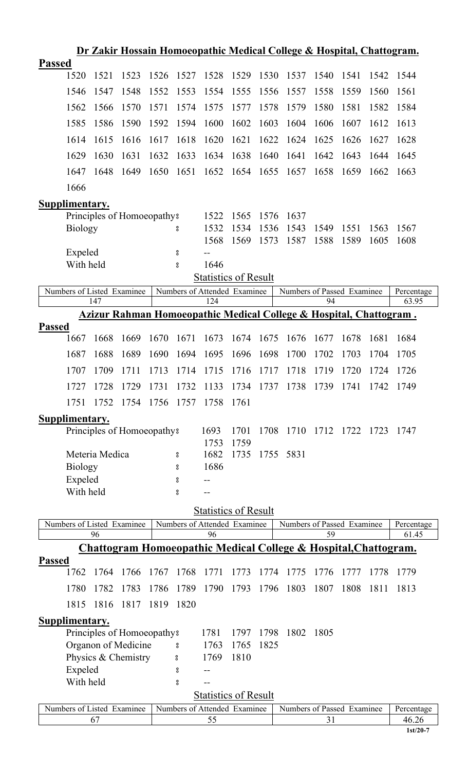|               |                       |                |                            |      |        |                                    |              |      | Dr Zakir Hossain Homoeopathic Medical College & Hospital, Chattogram.         |      |      |      |                     |
|---------------|-----------------------|----------------|----------------------------|------|--------|------------------------------------|--------------|------|-------------------------------------------------------------------------------|------|------|------|---------------------|
| <b>Passed</b> |                       |                |                            |      |        |                                    |              |      |                                                                               |      |      |      |                     |
|               | 1520                  | 1521           | 1523                       | 1526 | 1527   | 1528                               | 1529         | 1530 | 1537                                                                          | 1540 | 1541 | 1542 | 1544                |
|               | 1546                  | 1547           | 1548                       | 1552 | 1553   | 1554                               | 1555         | 1556 | 1557                                                                          | 1558 | 1559 | 1560 | 1561                |
|               | 1562                  | 1566           | 1570                       | 1571 | 1574   | 1575                               | 1577         | 1578 | 1579                                                                          | 1580 | 1581 | 1582 | 1584                |
|               | 1585                  | 1586           | 1590                       | 1592 | 1594   | 1600                               | 1602         | 1603 | 1604                                                                          | 1606 | 1607 | 1612 | 1613                |
|               | 1614                  | 1615           | 1616                       | 1617 | 1618   | 1620                               | 1621         | 1622 | 1624                                                                          | 1625 | 1626 | 1627 | 1628                |
|               | 1629                  | 1630           | 1631                       | 1632 | 1633   | 1634                               | 1638         | 1640 | 1641                                                                          | 1642 | 1643 | 1644 | 1645                |
|               | 1647                  | 1648           | 1649                       | 1650 | 1651   | 1652                               | 1654         | 1655 | 1657                                                                          | 1658 | 1659 | 1662 | 1663                |
|               | 1666                  |                |                            |      |        |                                    |              |      |                                                                               |      |      |      |                     |
|               | <b>Supplimentary.</b> |                |                            |      |        |                                    |              |      |                                                                               |      |      |      |                     |
|               |                       |                | Principles of Homoeopathy? |      |        | 1522                               | 1565         | 1576 | 1637                                                                          |      |      |      |                     |
|               | <b>Biology</b>        |                |                            |      | 8      | 1532                               | 1534         | 1536 | 1543                                                                          | 1549 | 1551 | 1563 | 1567                |
|               |                       |                |                            |      |        | 1568                               | 1569         | 1573 | 1587                                                                          | 1588 | 1589 | 1605 | 1608                |
|               | Expeled               |                |                            |      | °      |                                    |              |      |                                                                               |      |      |      |                     |
|               | With held             |                |                            |      | °      | 1646                               |              |      |                                                                               |      |      |      |                     |
|               |                       |                |                            |      |        | <b>Statistics of Result</b>        |              |      |                                                                               |      |      |      |                     |
|               |                       |                | Numbers of Listed Examinee |      |        | Numbers of Attended Examinee       |              |      | Numbers of Passed Examinee                                                    |      |      |      | Percentage          |
|               |                       | 147            |                            |      |        | 124                                |              |      |                                                                               | 94   |      |      | 63.95               |
|               |                       |                |                            |      |        |                                    |              |      | <u>Azizur Rahman Homoeopathic Medical College &amp; Hospital, Chattogram.</u> |      |      |      |                     |
| <b>Passed</b> |                       |                |                            |      |        |                                    |              |      |                                                                               |      |      |      |                     |
|               | 1667                  | 1668           | 1669                       | 1670 | 1671   | 1673                               | 1674         | 1675 | 1676                                                                          | 1677 | 1678 | 1681 | 1684                |
|               | 1687                  | 1688           | 1689                       | 1690 | 1694   | 1695                               | 1696         | 1698 | 1700                                                                          | 1702 | 1703 | 1704 | 1705                |
|               | 1707                  | 1709           | 1711                       | 1713 | 1714   | 1715                               | 1716         | 1717 | 1718                                                                          | 1719 | 1720 | 1724 | 1726                |
|               | 1727                  |                |                            |      |        |                                    |              |      | 1728 1729 1731 1732 1133 1734 1737 1738 1739 1741                             |      |      | 1742 | 1749                |
|               | 1751                  | 1752           | 1754                       | 1756 | 1757   | 1758                               | 1761         |      |                                                                               |      |      |      |                     |
|               | <b>Supplimentary.</b> |                |                            |      |        |                                    |              |      |                                                                               |      |      |      |                     |
|               |                       |                | Principles of Homoeopathy? |      |        | 1693                               | 1701         | 1708 | 1710 1712 1722 1723                                                           |      |      |      | -1747               |
|               |                       | Meteria Medica |                            |      |        | 1753<br>1682                       | 1759<br>1735 |      | 1755 5831                                                                     |      |      |      |                     |
|               | Biology               |                |                            |      | 8<br>ိ | 1686                               |              |      |                                                                               |      |      |      |                     |
|               | Expeled               |                |                            |      | 8      |                                    |              |      |                                                                               |      |      |      |                     |
|               | With held             |                |                            |      | 8      |                                    |              |      |                                                                               |      |      |      |                     |
|               |                       |                |                            |      |        |                                    |              |      |                                                                               |      |      |      |                     |
|               |                       |                |                            |      |        | <b>Statistics of Result</b>        |              |      |                                                                               |      |      |      |                     |
|               |                       | 96             | Numbers of Listed Examinee |      |        | Numbers of Attended Examinee<br>96 |              |      | Numbers of Passed Examinee                                                    | 59   |      |      | Percentage<br>61.45 |
|               |                       |                |                            |      |        |                                    |              |      | Chattogram Homoeopathic Medical College & Hospital, Chattogram.               |      |      |      |                     |
| <b>Passed</b> |                       |                |                            |      |        |                                    |              |      |                                                                               |      |      |      |                     |
|               | 1762                  | 1764           | 1766                       | 1767 | 1768   | 1771                               | 1773         | 1774 | 1775                                                                          | 1776 | 1777 | 1778 | 1779                |
|               | 1780                  | 1782           | 1783                       | 1786 | 1789   | 1790                               | 1793         | 1796 | 1803                                                                          | 1807 | 1808 | 1811 | 1813                |
|               | 1815                  | 1816           | 1817                       | 1819 | 1820   |                                    |              |      |                                                                               |      |      |      |                     |
|               | <b>Supplimentary.</b> |                |                            |      |        |                                    |              |      |                                                                               |      |      |      |                     |
|               |                       |                | Principles of Homoeopathy? |      |        | 1781                               | 1797         | 1798 | 1802                                                                          | 1805 |      |      |                     |
|               |                       |                | Organon of Medicine        |      | °      | 1763                               | 1765         | 1825 |                                                                               |      |      |      |                     |
|               |                       |                | Physics & Chemistry        |      | °      | 1769                               | 1810         |      |                                                                               |      |      |      |                     |
|               | Expeled               |                |                            |      | °      |                                    |              |      |                                                                               |      |      |      |                     |
|               | With held             |                |                            |      | 8      |                                    |              |      |                                                                               |      |      |      |                     |
|               |                       |                |                            |      |        | <b>Statistics of Result</b>        |              |      |                                                                               |      |      |      |                     |
|               |                       |                | Numbers of Listed Examinee |      |        | Numbers of Attended Examinee       |              |      | Numbers of Passed Examinee                                                    |      |      |      | Percentage          |
|               |                       | 67             |                            |      |        | 55                                 |              |      |                                                                               | 31   |      |      | 46.26               |

**1st/20-7**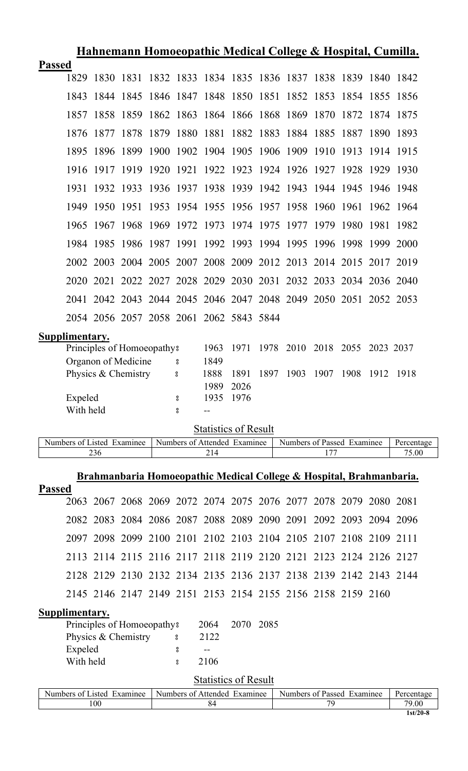|                | <u>Hahnemann Homoeopathic Medical College &amp; Hospital, Cumilla.</u> |                |                     |                            |                                                                  |                                    |      |           |                     |           |      |           |      |
|----------------|------------------------------------------------------------------------|----------------|---------------------|----------------------------|------------------------------------------------------------------|------------------------------------|------|-----------|---------------------|-----------|------|-----------|------|
| <b>Passed</b>  |                                                                        |                |                     |                            |                                                                  |                                    |      |           |                     |           |      |           |      |
|                |                                                                        |                |                     |                            | 1829 1830 1831 1832 1833 1834 1835 1836 1837 1838 1839 1840 1842 |                                    |      |           |                     |           |      |           |      |
|                | 1843                                                                   |                |                     |                            | 1844 1845 1846 1847 1848 1850 1851 1852 1853 1854 1855           |                                    |      |           |                     |           |      |           | 1856 |
|                | 1857                                                                   | 1858           | 1859                |                            | 1862 1863 1864 1866 1868 1869 1870 1872 1874 1875                |                                    |      |           |                     |           |      |           |      |
|                | 1876                                                                   | 1877 1878      |                     |                            | 1879 1880 1881 1882 1883                                         |                                    |      |           | 1884 1885           |           | 1887 | 1890      | 1893 |
|                | 1895                                                                   | 1896           | 1899                |                            | 1900 1902 1904 1905 1906 1909 1910 1913                          |                                    |      |           |                     |           |      | 1914      | 1915 |
|                |                                                                        | 1916 1917 1919 |                     | 1920 1921                  |                                                                  | 1922 1923 1924 1926 1927 1928 1929 |      |           |                     |           |      |           | 1930 |
|                | 1931                                                                   |                |                     |                            | 1932 1933 1936 1937 1938 1939 1942 1943 1944 1945 1946 1948      |                                    |      |           |                     |           |      |           |      |
|                | 1949                                                                   | 1950 1951      |                     |                            | 1953 1954 1955 1956 1957 1958 1960 1961                          |                                    |      |           |                     |           |      | 1962 1964 |      |
|                |                                                                        |                |                     |                            | 1965 1967 1968 1969 1972 1973 1974 1975 1977 1979 1980           |                                    |      |           |                     |           |      | 1981      | 1982 |
|                | 1984                                                                   | 1985           | 1986                | 1987 1991                  |                                                                  | 1992                               | 1993 | 1994 1995 |                     | 1996 1998 |      | 1999      | 2000 |
|                |                                                                        |                |                     |                            | 2002 2003 2004 2005 2007 2008 2009 2012 2013 2014 2015 2017 2019 |                                    |      |           |                     |           |      |           |      |
|                |                                                                        |                |                     |                            | 2020 2021 2022 2027 2028 2029 2030 2031 2032 2033 2034 2036 2040 |                                    |      |           |                     |           |      |           |      |
|                |                                                                        |                |                     |                            | 2041 2042 2043 2044 2045 2046 2047 2048 2049 2050 2051 2052 2053 |                                    |      |           |                     |           |      |           |      |
|                |                                                                        |                |                     |                            | 2054 2056 2057 2058 2061 2062 5843 5844                          |                                    |      |           |                     |           |      |           |      |
| Supplimentary. |                                                                        |                |                     |                            |                                                                  |                                    |      |           |                     |           |      |           |      |
|                |                                                                        |                |                     | Principles of Homoeopathy? |                                                                  | 1963                               | 1971 |           | 1978 2010 2018 2055 |           |      | 2023 2037 |      |
|                |                                                                        |                | Organon of Medicine |                            | °                                                                | 1849                               |      |           |                     |           |      |           |      |
|                |                                                                        |                | Physics & Chemistry |                            | 8                                                                | 1888                               | 1891 | 1897      | 1903                | 1907      | 1908 | 1912      | 1918 |
|                |                                                                        |                |                     |                            |                                                                  | 1989                               | 2026 |           |                     |           |      |           |      |
|                | Expeled                                                                |                |                     |                            | °                                                                | 1935                               | 1976 |           |                     |           |      |           |      |
|                | With held                                                              |                |                     |                            | $\rm ^o$                                                         |                                    |      |           |                     |           |      |           |      |
|                |                                                                        |                |                     |                            |                                                                  |                                    |      |           |                     |           |      |           |      |

Statistics of Result Numbers of Listed Examinee Numbers of Attended Examinee Numbers of Passed Examinee Percentage<br>236 214 177 75.00 Numbers of Passed Examinee

# **Brahmanbaria Homoeopathic Medical College & Hospital, Brahmanbaria.**

| <b>Passed</b> |                                                                  |  |  |  |  |  |  |
|---------------|------------------------------------------------------------------|--|--|--|--|--|--|
|               | 2063 2067 2068 2069 2072 2074 2075 2076 2077 2078 2079 2080 2081 |  |  |  |  |  |  |
|               | 2082 2083 2084 2086 2087 2088 2089 2090 2091 2092 2093 2094 2096 |  |  |  |  |  |  |
|               | 2097 2098 2099 2100 2101 2102 2103 2104 2105 2107 2108 2109 2111 |  |  |  |  |  |  |
|               | 2113 2114 2115 2116 2117 2118 2119 2120 2121 2123 2124 2126 2127 |  |  |  |  |  |  |
|               | 2128 2129 2130 2132 2134 2135 2136 2137 2138 2139 2142 2143 2144 |  |  |  |  |  |  |
|               | 2145 2146 2147 2149 2151 2153 2154 2155 2156 2158 2159 2160      |  |  |  |  |  |  |

| Supplimentary. |
|----------------|
|                |

|             | 2122                       |      |           |
|-------------|----------------------------|------|-----------|
|             |                            |      |           |
| $\tilde{S}$ | 2106                       |      |           |
|             | Principles of Homoeopathy? | 2064 | 2070 2085 |

| Numbers of Listed<br>Examinee | Examinee<br>Numbers of Attended | Numbers of Passed<br>Examinee | Percentage |
|-------------------------------|---------------------------------|-------------------------------|------------|
| 100                           |                                 | 70                            | 79.00      |
|                               |                                 |                               | 1st/20-8   |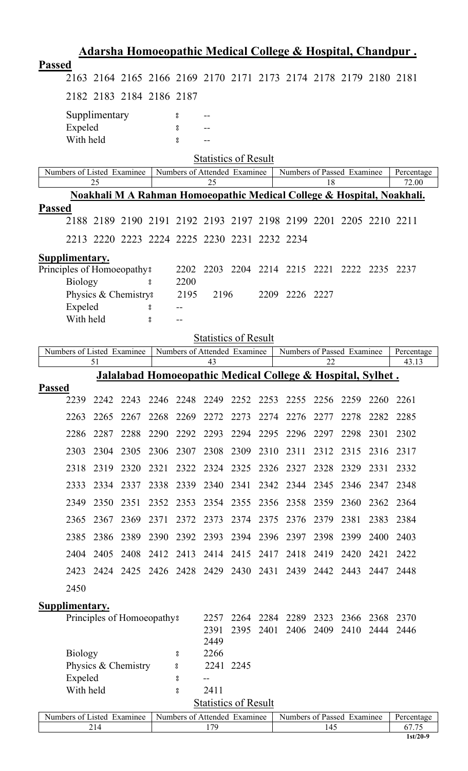|               |                            |               |                                        |      |                              |              |                             |      | <u> Adarsha Homoeopathic Medical College &amp; Hospital, Chandpur.</u> |      |      |      |                                                                        |
|---------------|----------------------------|---------------|----------------------------------------|------|------------------------------|--------------|-----------------------------|------|------------------------------------------------------------------------|------|------|------|------------------------------------------------------------------------|
| <b>Passed</b> |                            |               |                                        |      |                              |              |                             |      |                                                                        |      |      |      |                                                                        |
|               |                            |               |                                        |      |                              |              |                             |      | 2163 2164 2165 2166 2169 2170 2171 2173 2174 2178 2179 2180 2181       |      |      |      |                                                                        |
|               |                            |               | 2182 2183 2184 2186 2187               |      |                              |              |                             |      |                                                                        |      |      |      |                                                                        |
|               |                            | Supplimentary |                                        |      | 8                            |              |                             |      |                                                                        |      |      |      |                                                                        |
|               | Expeled<br>With held       |               |                                        |      | 8<br>8                       |              |                             |      |                                                                        |      |      |      |                                                                        |
|               |                            |               |                                        |      |                              |              | <b>Statistics of Result</b> |      |                                                                        |      |      |      |                                                                        |
|               | Numbers of Listed Examinee |               |                                        |      | Numbers of Attended Examinee |              |                             |      | Numbers of Passed Examinee                                             |      |      |      | Percentage                                                             |
|               |                            | 25            |                                        |      |                              | 25           |                             |      |                                                                        | 18   |      |      | 72.00                                                                  |
| <b>Passed</b> |                            |               |                                        |      |                              |              |                             |      |                                                                        |      |      |      | Noakhali M A Rahman Homoeopathic Medical College & Hospital, Noakhali. |
|               |                            |               |                                        |      |                              |              |                             |      | 2188 2189 2190 2191 2192 2193 2197 2198 2199 2201 2205 2210 2211       |      |      |      |                                                                        |
|               |                            |               |                                        |      |                              |              |                             |      | 2213 2220 2223 2224 2225 2230 2231 2232 2234                           |      |      |      |                                                                        |
|               | Supplimentary.             |               |                                        |      |                              |              |                             |      |                                                                        |      |      |      |                                                                        |
|               | Principles of Homoeopathy? |               |                                        |      | 2202                         |              |                             |      | 2203 2204 2214 2215 2221 2222 2235 2237                                |      |      |      |                                                                        |
|               | <b>Biology</b>             |               |                                        | å    | 2200                         |              |                             |      |                                                                        |      |      |      |                                                                        |
|               | Expeled                    |               | Physics & Chemistry?                   |      | 2195                         | 2196         |                             |      | 2209 2226 2227                                                         |      |      |      |                                                                        |
|               | With held                  |               |                                        | 8    |                              |              |                             |      |                                                                        |      |      |      |                                                                        |
|               |                            |               |                                        |      |                              |              | <b>Statistics of Result</b> |      |                                                                        |      |      |      |                                                                        |
|               | Numbers of Listed Examinee | 51            |                                        |      | Numbers of Attended Examinee | 43           |                             |      | Numbers of Passed Examinee                                             | 22   |      |      | Percentage<br>43.13                                                    |
|               |                            |               |                                        |      |                              |              |                             |      | <u> Jalalabad Homoeopathic Medical College &amp; Hospital, Sylhet.</u> |      |      |      |                                                                        |
| <b>Passed</b> | 2239                       | 2242          | 2243                                   | 2246 | 2248                         | 2249         | 2252                        | 2253 | 2255                                                                   | 2256 | 2259 | 2260 | 2261                                                                   |
|               | 2263                       | 2265          | 2267                                   | 2268 | 2269                         | 2272         | 2273                        | 2274 | 2276                                                                   | 2277 | 2278 | 2282 | 2285                                                                   |
|               | 2286                       | 2287          | 2288                                   | 2290 | 2292                         | 2293         | 2294                        | 2295 | 2296                                                                   | 2297 | 2298 | 2301 | 2302                                                                   |
|               |                            |               |                                        |      |                              |              |                             |      |                                                                        |      |      |      |                                                                        |
|               | 2303                       | 2304          | 2305                                   | 2306 | 2307                         | 2308         | 2309                        | 2310 | 2311                                                                   | 2312 | 2315 | 2316 | 2317                                                                   |
|               | 2318                       | 2319          | 2320                                   | 2321 | 2322                         | 2324         | 2325                        | 2326 | 2327                                                                   | 2328 | 2329 | 2331 | 2332                                                                   |
|               | 2333                       | 2334          | 2337                                   | 2338 | 2339                         | 2340         | 2341                        | 2342 | 2344                                                                   | 2345 | 2346 | 2347 | 2348                                                                   |
|               | 2349                       | 2350          | 2351                                   | 2352 | 2353                         | 2354         | 2355                        | 2356 | 2358                                                                   | 2359 | 2360 | 2362 | 2364                                                                   |
|               | 2365                       | 2367          | 2369                                   | 2371 | 2372                         | 2373         | 2374                        | 2375 | 2376                                                                   | 2379 | 2381 | 2383 | 2384                                                                   |
|               | 2385                       | 2386          | 2389                                   | 2390 | 2392                         | 2393         | 2394                        | 2396 | 2397                                                                   | 2398 | 2399 | 2400 | 2403                                                                   |
|               | 2404                       | 2405          | 2408                                   | 2412 | 2413                         | 2414         | 2415                        | 2417 | 2418                                                                   | 2419 | 2420 | 2421 | 2422                                                                   |
|               | 2423                       | 2424          | 2425                                   |      | 2426 2428 2429               |              | 2430                        | 2431 | 2439                                                                   | 2442 | 2443 | 2447 | 2448                                                                   |
|               | 2450                       |               |                                        |      |                              |              |                             |      |                                                                        |      |      |      |                                                                        |
|               | Supplimentary.             |               |                                        |      |                              |              |                             |      |                                                                        |      |      |      |                                                                        |
|               |                            |               | Principles of Homoeopathy <sup>8</sup> |      |                              | 2257         | 2264                        | 2284 | 2289                                                                   | 2323 | 2366 | 2368 | 2370                                                                   |
|               |                            |               |                                        |      |                              | 2391<br>2449 | 2395                        | 2401 | 2406                                                                   | 2409 | 2410 | 2444 | 2446                                                                   |
|               | <b>Biology</b>             |               |                                        |      | 8                            | 2266         |                             |      |                                                                        |      |      |      |                                                                        |
|               |                            |               | Physics & Chemistry                    |      | $\bf{S}$                     |              | 2241 2245                   |      |                                                                        |      |      |      |                                                                        |
|               | Expeled<br>With held       |               |                                        |      | 8<br>8                       | 2411         |                             |      |                                                                        |      |      |      |                                                                        |
|               |                            |               |                                        |      |                              |              | <b>Statistics of Result</b> |      |                                                                        |      |      |      |                                                                        |
|               | Numbers of Listed Examinee |               |                                        |      | Numbers of Attended Examinee |              |                             |      | Numbers of Passed Examinee                                             |      |      |      | Percentage                                                             |
|               |                            | 214           |                                        |      |                              | 179          |                             |      |                                                                        | 145  |      |      | 67.75<br>$1st/20-9$                                                    |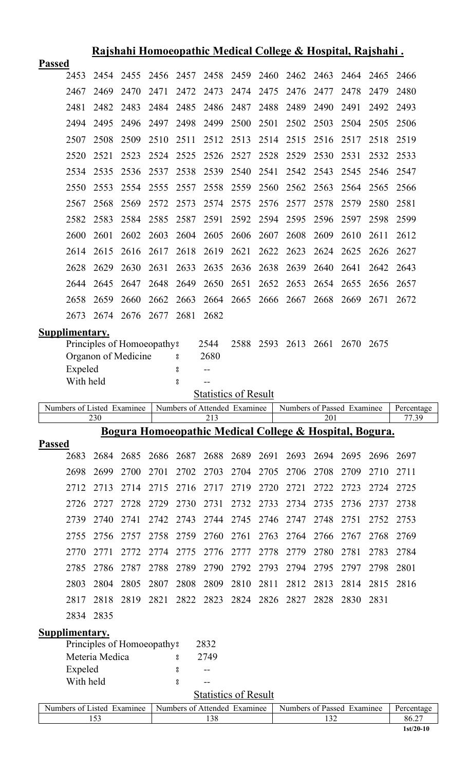|                            |                                              |      |      |              |                                     |                             |      | <u> Rajshahi Homoeopathic Medical College &amp; Hospital, Rajshahi .</u> |      |      |      |                     |
|----------------------------|----------------------------------------------|------|------|--------------|-------------------------------------|-----------------------------|------|--------------------------------------------------------------------------|------|------|------|---------------------|
| <b>Passed</b>              |                                              |      |      |              |                                     |                             |      |                                                                          |      |      |      |                     |
| 2453                       | 2454                                         | 2455 | 2456 | 2457<br>2472 |                                     | 2458 2459 2460              |      | 2462 2463<br>2476                                                        |      | 2464 | 2465 | 2466                |
| 2467                       | 2469                                         | 2470 | 2471 |              | 2473                                | 2474                        | 2475 |                                                                          | 2477 | 2478 | 2479 | 2480                |
| 2481                       | 2482                                         | 2483 | 2484 | 2485         | 2486                                | 2487                        | 2488 | 2489                                                                     | 2490 | 2491 | 2492 | 2493                |
| 2494                       | 2495                                         | 2496 | 2497 | 2498         | 2499                                | 2500                        | 2501 | 2502                                                                     | 2503 | 2504 | 2505 | 2506                |
| 2507                       | 2508                                         | 2509 | 2510 | 2511         | 2512                                | 2513                        | 2514 | 2515                                                                     | 2516 | 2517 | 2518 | 2519                |
| 2520                       | 2521                                         | 2523 | 2524 | 2525         | 2526                                | 2527                        | 2528 | 2529                                                                     | 2530 | 2531 | 2532 | 2533                |
| 2534                       | 2535                                         | 2536 | 2537 | 2538         | 2539                                | 2540                        | 2541 | 2542                                                                     | 2543 | 2545 | 2546 | 2547                |
| 2550                       | 2553                                         | 2554 | 2555 | 2557         | 2558                                | 2559                        | 2560 | 2562                                                                     | 2563 | 2564 | 2565 | 2566                |
| 2567                       | 2568                                         | 2569 | 2572 | 2573         | 2574                                | 2575                        | 2576 | 2577                                                                     | 2578 | 2579 | 2580 | 2581                |
| 2582                       | 2583                                         | 2584 | 2585 | 2587         | 2591                                | 2592                        | 2594 | 2595                                                                     | 2596 | 2597 | 2598 | 2599                |
| 2600                       | 2601                                         | 2602 | 2603 | 2604         | 2605                                | 2606                        | 2607 | 2608                                                                     | 2609 | 2610 | 2611 | 2612                |
| 2614                       | 2615                                         | 2616 | 2617 | 2618         | 2619                                | 2621                        | 2622 | 2623                                                                     | 2624 | 2625 | 2626 | 2627                |
| 2628                       | 2629                                         | 2630 | 2631 | 2633         | 2635                                | 2636                        | 2638 | 2639                                                                     | 2640 | 2641 | 2642 | 2643                |
| 2644                       | 2645                                         | 2647 | 2648 | 2649         | 2650                                | 2651                        | 2652 | 2653                                                                     | 2654 | 2655 | 2656 | 2657                |
| 2658                       | 2659                                         | 2660 | 2662 | 2663         |                                     |                             |      | 2664 2665 2666 2667                                                      | 2668 | 2669 | 2671 | 2672                |
| 2673                       | 2674                                         | 2676 | 2677 | 2681         | 2682                                |                             |      |                                                                          |      |      |      |                     |
| <b>Supplimentary.</b>      |                                              |      |      |              |                                     |                             |      |                                                                          |      |      |      |                     |
|                            | Principles of Homoeopathy <sup>8</sup>       |      |      |              | 2544                                | 2588                        | 2593 | 2613                                                                     | 2661 | 2670 | 2675 |                     |
|                            | Organon of Medicine                          |      |      | 8            | 2680                                |                             |      |                                                                          |      |      |      |                     |
| Expeled                    |                                              |      |      | 8            | $- -$                               |                             |      |                                                                          |      |      |      |                     |
| With held                  |                                              |      |      | 8            | $-$                                 |                             |      |                                                                          |      |      |      |                     |
|                            |                                              |      |      |              |                                     |                             |      |                                                                          |      |      |      |                     |
|                            |                                              |      |      |              |                                     | <b>Statistics of Result</b> |      |                                                                          |      |      |      |                     |
| Numbers of Listed Examinee | 230                                          |      |      |              | Numbers of Attended Examinee<br>213 |                             |      | Numbers of Passed Examinee                                               | 201  |      |      | Percentage<br>77.39 |
|                            |                                              |      |      |              |                                     |                             |      | <u>Bogura Homoeopathic Medical College &amp; Hospital, Bogura.</u>       |      |      |      |                     |
| <b>Passed</b><br>2683      | 2684                                         | 2685 | 2686 | 2687         | 2688                                | 2689                        | 2691 | 2693                                                                     | 2694 | 2695 | 2696 | 2697                |
| 2698                       | 2699                                         | 2700 | 2701 | 2702         | 2703                                | 2704                        | 2705 | 2706                                                                     | 2708 | 2709 | 2710 | 2711                |
| 2712                       | 2713                                         | 2714 | 2715 | 2716         | 2717                                | 2719                        | 2720 | 2721                                                                     | 2722 | 2723 | 2724 | 2725                |
| 2726                       | 2727                                         | 2728 | 2729 | 2730         | 2731                                | 2732                        | 2733 | 2734                                                                     | 2735 | 2736 | 2737 | 2738                |
| 2739                       | 2740                                         | 2741 | 2742 | 2743         | 2744                                | 2745                        | 2746 | 2747                                                                     | 2748 | 2751 | 2752 | 2753                |
| 2755                       | 2756                                         | 2757 | 2758 | 2759         | 2760                                | 2761                        | 2763 | 2764                                                                     | 2766 | 2767 | 2768 | 2769                |
| 2770                       | 2771                                         | 2772 | 2774 | 2775         | 2776                                | 2777                        | 2778 | 2779                                                                     | 2780 | 2781 | 2783 | 2784                |
| 2785                       | 2786                                         | 2787 | 2788 | 2789         | 2790                                | 2792                        | 2793 | 2794                                                                     | 2795 | 2797 | 2798 | 2801                |
| 2803                       | 2804                                         | 2805 | 2807 | 2808         | 2809                                | 2810                        | 2811 | 2812                                                                     | 2813 | 2814 | 2815 | 2816                |
| 2817                       | 2818                                         | 2819 | 2821 | 2822         | 2823                                | 2824                        | 2826 | 2827                                                                     | 2828 | 2830 | 2831 |                     |
|                            | 2834 2835                                    |      |      |              |                                     |                             |      |                                                                          |      |      |      |                     |
|                            |                                              |      |      |              |                                     |                             |      |                                                                          |      |      |      |                     |
| <u>Supplimentary.</u>      |                                              |      |      |              | 2832                                |                             |      |                                                                          |      |      |      |                     |
|                            | Principles of Homoeopathy?<br>Meteria Medica |      |      | 8            | 2749                                |                             |      |                                                                          |      |      |      |                     |
| Expeled                    |                                              |      |      | 8            |                                     |                             |      |                                                                          |      |      |      |                     |
| With held                  |                                              |      |      | 8            | $-$                                 |                             |      |                                                                          |      |      |      |                     |
|                            |                                              |      |      |              | <b>Statistics of Result</b>         |                             |      |                                                                          |      |      |      |                     |
| Numbers of Listed Examinee | 153                                          |      |      |              | Numbers of Attended Examinee<br>138 |                             |      | Numbers of Passed Examinee                                               | 132  |      |      | Percentage<br>86.27 |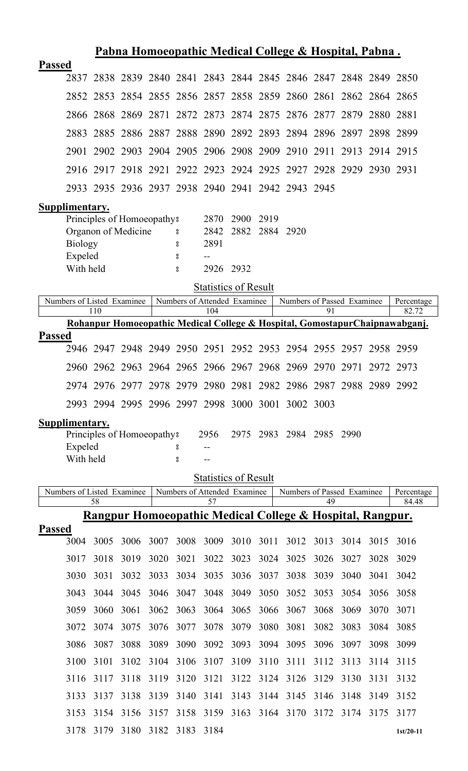|               |                            |      |                                        |      |                              |                             |      |                | Pabna Homoeopathic Medical College & Hospital, Pabna.                |      |      |      |                                                                             |
|---------------|----------------------------|------|----------------------------------------|------|------------------------------|-----------------------------|------|----------------|----------------------------------------------------------------------|------|------|------|-----------------------------------------------------------------------------|
| <b>Passed</b> |                            |      |                                        |      |                              |                             |      |                |                                                                      |      |      |      |                                                                             |
|               | 2837                       |      |                                        |      |                              |                             |      |                | 2838 2839 2840 2841 2843 2844 2845 2846 2847 2848 2849 2850          |      |      |      |                                                                             |
|               |                            |      |                                        |      |                              |                             |      |                | 2852 2853 2854 2855 2856 2857 2858 2859 2860 2861 2862 2864 2865     |      |      |      |                                                                             |
|               | 2866                       |      |                                        |      |                              |                             |      |                | 2868 2869 2871 2872 2873 2874 2875 2876 2877 2879 2880 2881          |      |      |      |                                                                             |
|               | 2883                       |      |                                        |      |                              |                             |      |                | 2885 2886 2887 2888 2890 2892 2893 2894 2896 2897 2898 2899          |      |      |      |                                                                             |
|               | 2901                       |      |                                        |      |                              |                             |      |                | 2902 2903 2904 2905 2906 2908 2909 2910 2911 2913 2914 2915          |      |      |      |                                                                             |
|               |                            |      |                                        |      |                              |                             |      |                | 2916 2917 2918 2921 2922 2923 2924 2925 2927 2928 2929 2930 2931     |      |      |      |                                                                             |
|               |                            |      |                                        |      |                              |                             |      |                | 2933 2935 2936 2937 2938 2940 2941 2942 2943 2945                    |      |      |      |                                                                             |
|               | Supplimentary.             |      |                                        |      |                              |                             |      |                |                                                                      |      |      |      |                                                                             |
|               |                            |      | Principles of Homoeopathy?             |      |                              | 2870                        | 2900 | 2919           |                                                                      |      |      |      |                                                                             |
|               |                            |      | Organon of Medicine                    |      | $\rm ^o$                     | 2842                        |      | 2882 2884 2920 |                                                                      |      |      |      |                                                                             |
|               | <b>Biology</b>             |      |                                        |      | 8                            | 2891                        |      |                |                                                                      |      |      |      |                                                                             |
|               | Expeled                    |      |                                        |      | 8                            |                             |      |                |                                                                      |      |      |      |                                                                             |
|               | With held                  |      |                                        |      | °                            | 2926 2932                   |      |                |                                                                      |      |      |      |                                                                             |
|               |                            |      |                                        |      |                              | <b>Statistics of Result</b> |      |                |                                                                      |      |      |      |                                                                             |
|               | Numbers of Listed Examinee | 110  |                                        |      | Numbers of Attended Examinee | 104                         |      |                | Numbers of Passed Examinee                                           | 91   |      |      | Percentage<br>82.72                                                         |
|               |                            |      |                                        |      |                              |                             |      |                |                                                                      |      |      |      | Rohanpur Homoeopathic Medical College & Hospital, GomostapurChaipnawabganj. |
| <b>Passed</b> |                            |      |                                        |      |                              |                             |      |                |                                                                      |      |      |      |                                                                             |
|               |                            |      |                                        |      |                              |                             |      |                | 2946 2947 2948 2949 2950 2951 2952 2953 2954 2955 2957 2958 2959     |      |      |      |                                                                             |
|               |                            |      |                                        |      |                              |                             |      |                | 2960 2962 2963 2964 2965 2966 2967 2968 2969 2970 2971 2972 2973     |      |      |      |                                                                             |
|               |                            |      |                                        |      |                              |                             |      |                | 2974 2976 2977 2978 2979 2980 2981 2982 2986 2987 2988 2989 2992     |      |      |      |                                                                             |
|               |                            |      |                                        |      |                              |                             |      |                | 2993 2994 2995 2996 2997 2998 3000 3001 3002 3003                    |      |      |      |                                                                             |
|               | Supplimentary.             |      |                                        |      |                              |                             |      |                |                                                                      |      |      |      |                                                                             |
|               | Expeled                    |      | Principles of Homoeopathy <sup>8</sup> |      | 8                            | 2956                        | 2975 | 2983           | 2984 2985                                                            |      | 2990 |      |                                                                             |
|               | With held                  |      |                                        |      | 8                            | $-$                         |      |                |                                                                      |      |      |      |                                                                             |
|               |                            |      |                                        |      |                              | <b>Statistics of Result</b> |      |                |                                                                      |      |      |      |                                                                             |
|               | Numbers of Listed Examinee |      |                                        |      | Numbers of Attended Examinee |                             |      |                | Numbers of Passed Examinee                                           |      |      |      | Percentage                                                                  |
|               |                            | 58   |                                        |      |                              | 57                          |      |                | <u>Rangpur Homoeopathic Medical College &amp; Hospital, Rangpur.</u> | 49   |      |      | 84.48                                                                       |
| <b>Passed</b> |                            |      |                                        |      |                              |                             |      |                |                                                                      |      |      |      |                                                                             |
|               | 3004                       | 3005 | 3006                                   | 3007 | 3008                         | 3009                        | 3010 | 3011           | 3012                                                                 | 3013 | 3014 | 3015 | 3016                                                                        |
|               | 3017                       | 3018 | 3019                                   | 3020 | 3021                         | 3022                        | 3023 | 3024           | 3025                                                                 | 3026 | 3027 | 3028 | 3029                                                                        |
|               | 3030                       | 3031 | 3032                                   | 3033 | 3034                         | 3035                        | 3036 | 3037           | 3038                                                                 | 3039 | 3040 | 3041 | 3042                                                                        |
|               | 3043                       | 3044 | 3045                                   | 3046 | 3047                         | 3048                        | 3049 | 3050           | 3052                                                                 | 3053 | 3054 | 3056 | 3058                                                                        |
|               | 3059                       | 3060 | 3061                                   | 3062 | 3063                         | 3064                        | 3065 | 3066           | 3067                                                                 | 3068 | 3069 | 3070 | 3071                                                                        |
|               | 3072                       | 3074 | 3075                                   | 3076 | 3077                         | 3078                        | 3079 | 3080           | 3081                                                                 | 3082 | 3083 | 3084 | 3085                                                                        |
|               | 3086                       | 3087 | 3088                                   | 3089 | 3090                         | 3092                        | 3093 | 3094           | 3095                                                                 | 3096 | 3097 | 3098 | 3099                                                                        |
|               | 3100                       | 3101 | 3102                                   | 3104 | 3106                         | 3107                        | 3109 | 3110           | 3111                                                                 | 3112 | 3113 | 3114 | 3115                                                                        |
|               | 3116                       | 3117 | 3118                                   | 3119 | 3120                         | 3121                        | 3122 | 3124           | 3126                                                                 | 3129 | 3130 | 3131 | 3132                                                                        |
|               | 3133                       | 3137 | 3138                                   | 3139 | 3140                         | 3141                        | 3143 | 3144           | 3145                                                                 | 3146 | 3148 | 3149 | 3152                                                                        |
|               | 3153                       | 3154 | 3156                                   | 3157 | 3158                         | 3159                        | 3163 | 3164           | 3170                                                                 | 3172 | 3174 | 3175 | 3177                                                                        |
|               |                            |      | 3178 3179 3180 3182 3183 3184          |      |                              |                             |      |                |                                                                      |      |      |      | $1st/20-11$                                                                 |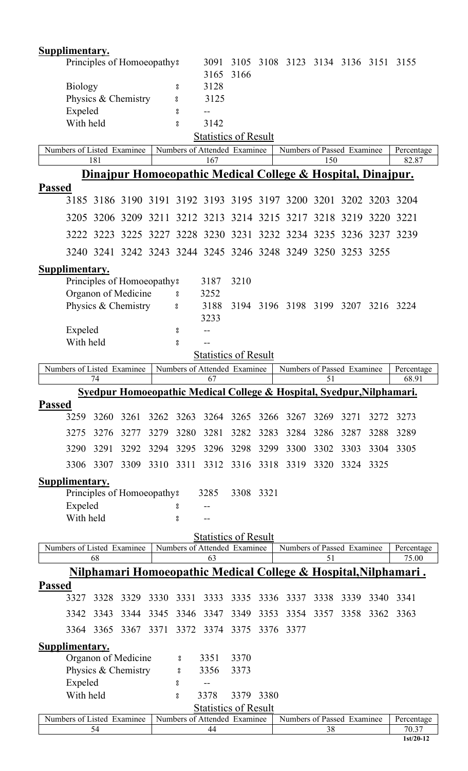|               | <b>Supplimentary.</b> |           |                            |      |        |                                     |           |      |                                                                                  |      |      |      |                                                                            |
|---------------|-----------------------|-----------|----------------------------|------|--------|-------------------------------------|-----------|------|----------------------------------------------------------------------------------|------|------|------|----------------------------------------------------------------------------|
|               |                       |           | Principles of Homoeopathy? |      |        | 3091                                | 3105      |      | 3108 3123 3134 3136 3151 3155                                                    |      |      |      |                                                                            |
|               |                       |           |                            |      |        | 3165                                | 3166      |      |                                                                                  |      |      |      |                                                                            |
|               | <b>Biology</b>        |           |                            |      | 8      | 3128                                |           |      |                                                                                  |      |      |      |                                                                            |
|               |                       |           | Physics & Chemistry        |      | 8      | 3125                                |           |      |                                                                                  |      |      |      |                                                                            |
|               | Expeled               |           |                            |      | °      |                                     |           |      |                                                                                  |      |      |      |                                                                            |
|               | With held             |           |                            |      | °      | 3142<br><b>Statistics of Result</b> |           |      |                                                                                  |      |      |      |                                                                            |
|               |                       |           | Numbers of Listed Examinee |      |        | Numbers of Attended Examinee        |           |      | Numbers of Passed Examinee                                                       |      |      |      | Percentage                                                                 |
|               |                       | 181       |                            |      |        | 167                                 |           |      |                                                                                  | 150  |      |      | 82.87                                                                      |
|               |                       |           |                            |      |        |                                     |           |      | Dinajpur Homoeopathic Medical College & Hospital, Dinajpur.                      |      |      |      |                                                                            |
| <b>Passed</b> |                       |           |                            |      |        |                                     |           |      |                                                                                  |      |      |      |                                                                            |
|               | 3185                  |           |                            |      |        |                                     |           |      | 3186 3190 3191 3192 3193 3195 3197 3200 3201 3202 3203 3204                      |      |      |      |                                                                            |
|               | 3205                  |           |                            |      |        |                                     |           |      | 3206 3209 3211 3212 3213 3214 3215 3217 3218 3219 3220 3221                      |      |      |      |                                                                            |
|               |                       |           |                            |      |        |                                     |           |      | 3225 3227 3228 3230 3231 3232 3234 3235 3236 3237 3239                           |      |      |      |                                                                            |
|               |                       | 3222 3223 |                            |      |        |                                     |           |      |                                                                                  |      |      |      |                                                                            |
|               |                       | 3240 3241 |                            |      |        |                                     |           |      | 3242 3243 3244 3245 3246 3248 3249 3250 3253 3255                                |      |      |      |                                                                            |
|               | Supplimentary.        |           |                            |      |        |                                     |           |      |                                                                                  |      |      |      |                                                                            |
|               |                       |           | Principles of Homoeopathy? |      |        | 3187                                | 3210      |      |                                                                                  |      |      |      |                                                                            |
|               |                       |           | Organon of Medicine        |      | °      | 3252                                |           |      |                                                                                  |      |      |      |                                                                            |
|               |                       |           | Physics & Chemistry        |      | 8      | 3188                                |           |      | 3194 3196 3198 3199 3207                                                         |      |      |      | 3216 3224                                                                  |
|               |                       |           |                            |      |        | 3233                                |           |      |                                                                                  |      |      |      |                                                                            |
|               | Expeled<br>With held  |           |                            |      | 8<br>8 |                                     |           |      |                                                                                  |      |      |      |                                                                            |
|               |                       |           |                            |      |        | <b>Statistics of Result</b>         |           |      |                                                                                  |      |      |      |                                                                            |
|               |                       |           | Numbers of Listed Examinee |      |        | Numbers of Attended Examinee        |           |      | Numbers of Passed Examinee                                                       |      |      |      | Percentage                                                                 |
|               |                       | 74        |                            |      |        | 67                                  |           |      |                                                                                  | 51   |      |      | 68.91                                                                      |
|               |                       |           |                            |      |        |                                     |           |      | <b>Syedpur Homoeopathic Medical College &amp; Hospital, Syedpur, Nilphamari.</b> |      |      |      |                                                                            |
| <b>Passed</b> |                       |           |                            |      |        |                                     |           |      |                                                                                  |      |      |      |                                                                            |
|               | 3259                  | 3260      | 3261                       | 3262 |        | 3263 3264 3265                      |           | 3266 | 3267                                                                             | 3269 | 3271 | 3272 | 3273                                                                       |
|               | 3275                  | 3276      | 3277                       | 3279 | 3280   | 3281                                | 3282      | 3283 | 3284                                                                             | 3286 | 3287 | 3288 | 3289                                                                       |
|               | 3290                  | 3291      | 3292                       | 3294 | 3295   | 3296                                | 3298      | 3299 | 3300                                                                             | 3302 | 3303 | 3304 | 3305                                                                       |
|               | 3306                  | 3307      | 3309                       | 3310 | 3311   | 3312                                | 3316      | 3318 | 3319                                                                             | 3320 | 3324 | 3325 |                                                                            |
|               | Supplimentary.        |           |                            |      |        |                                     |           |      |                                                                                  |      |      |      |                                                                            |
|               |                       |           | Principles of Homoeopathy? |      |        | 3285                                | 3308 3321 |      |                                                                                  |      |      |      |                                                                            |
|               | Expeled               |           |                            |      | 8      |                                     |           |      |                                                                                  |      |      |      |                                                                            |
|               | With held             |           |                            |      | °      |                                     |           |      |                                                                                  |      |      |      |                                                                            |
|               |                       |           |                            |      |        | <b>Statistics of Result</b>         |           |      |                                                                                  |      |      |      |                                                                            |
|               |                       |           | Numbers of Listed Examinee |      |        | Numbers of Attended Examinee        |           |      | Numbers of Passed Examinee                                                       |      |      |      | Percentage                                                                 |
|               |                       | 68        |                            |      |        | 63                                  |           |      |                                                                                  | 51   |      |      | 75.00                                                                      |
|               |                       |           |                            |      |        |                                     |           |      |                                                                                  |      |      |      | <u>Nilphamari Homoeopathic Medical College &amp; Hospital, Nilphamari.</u> |
| <b>Passed</b> |                       |           |                            |      |        |                                     |           |      |                                                                                  |      |      |      |                                                                            |
|               | 3327                  | 3328      | 3329                       | 3330 | 3331   | 3333                                | 3335      | 3336 | 3337                                                                             | 3338 | 3339 | 3340 | 3341                                                                       |
|               | 3342                  | 3343      | 3344                       | 3345 | 3346   | 3347                                | 3349      | 3353 | 3354                                                                             | 3357 | 3358 | 3362 | 3363                                                                       |
|               | 3364                  | 3365      | 3367                       | 3371 | 3372   | 3374                                | 3375      | 3376 | 3377                                                                             |      |      |      |                                                                            |
|               | Supplimentary.        |           |                            |      |        |                                     |           |      |                                                                                  |      |      |      |                                                                            |
|               |                       |           | Organon of Medicine        |      | 8      | 3351                                | 3370      |      |                                                                                  |      |      |      |                                                                            |
|               |                       |           | Physics & Chemistry        |      | °      | 3356                                | 3373      |      |                                                                                  |      |      |      |                                                                            |
|               | Expeled               |           |                            |      | 8      |                                     |           |      |                                                                                  |      |      |      |                                                                            |
|               | With held             |           |                            |      | °      | 3378                                | 3379      | 3380 |                                                                                  |      |      |      |                                                                            |
|               |                       |           |                            |      |        | <b>Statistics of Result</b>         |           |      |                                                                                  |      |      |      |                                                                            |
|               |                       | 54        | Numbers of Listed Examinee |      |        | Numbers of Attended Examinee<br>44  |           |      | Numbers of Passed Examinee                                                       | 38   |      |      | Percentage<br>70.37                                                        |
|               |                       |           |                            |      |        |                                     |           |      |                                                                                  |      |      |      |                                                                            |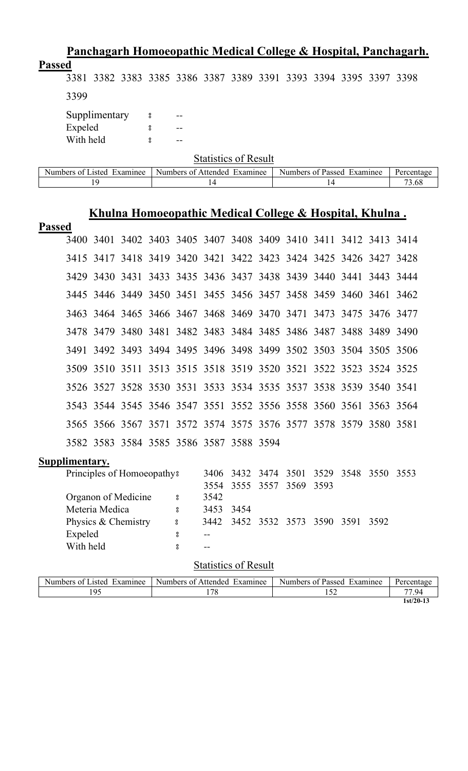|               |                      |                                                                  |      |        |          |                                                   |      |                                                                |                            |    |      |      | <u>Panchagarh Homoeopathic Medical College &amp; Hospital, Panchagarh.</u> |
|---------------|----------------------|------------------------------------------------------------------|------|--------|----------|---------------------------------------------------|------|----------------------------------------------------------------|----------------------------|----|------|------|----------------------------------------------------------------------------|
| <b>Passed</b> |                      | 3381 3382 3383 3385 3386 3387 3389 3391 3393 3394 3395 3397 3398 |      |        |          |                                                   |      |                                                                |                            |    |      |      |                                                                            |
|               | 3399                 |                                                                  |      |        |          |                                                   |      |                                                                |                            |    |      |      |                                                                            |
|               |                      | Supplimentary                                                    |      | 8      |          |                                                   |      |                                                                |                            |    |      |      |                                                                            |
|               | Expeled<br>With held |                                                                  |      | °<br>႙ |          |                                                   |      |                                                                |                            |    |      |      |                                                                            |
|               |                      |                                                                  |      |        |          | <b>Statistics of Result</b>                       |      |                                                                |                            |    |      |      |                                                                            |
|               |                      | Numbers of Listed Examinee                                       |      |        |          | Numbers of Attended Examinee                      |      |                                                                | Numbers of Passed Examinee |    |      |      | Percentage                                                                 |
|               |                      | 19                                                               |      |        |          | 14                                                |      |                                                                |                            | 14 |      |      | 73.68                                                                      |
|               |                      | Khulna Homoeopathic Medical College & Hospital, Khulna.          |      |        |          |                                                   |      |                                                                |                            |    |      |      |                                                                            |
| <b>Passed</b> | 3400                 | 3401                                                             |      |        |          | 3402 3403 3405 3407 3408 3409 3410 3411 3412 3413 |      |                                                                |                            |    |      |      | 3414                                                                       |
|               | 3415                 | 3417                                                             | 3418 | 3419   |          | 3420 3421 3422 3423 3424 3425 3426 3427           |      |                                                                |                            |    |      |      | 3428                                                                       |
|               | 3429                 | 3430 3431                                                        |      |        |          | 3433 3435 3436 3437 3438 3439 3440 3441           |      |                                                                |                            |    |      | 3443 | 3444                                                                       |
|               | 3445                 | 3446 3449 3450 3451 3455 3456 3457 3458 3459 3460 3461           |      |        |          |                                                   |      |                                                                |                            |    |      |      | 3462                                                                       |
|               | 3463                 |                                                                  |      |        |          | 3464 3465 3466 3467 3468 3469 3470 3471 3473      |      |                                                                |                            |    | 3475 | 3476 | 3477                                                                       |
|               | 3478                 | 3479                                                             | 3480 | 3481   |          | 3482 3483 3484 3485 3486 3487 3488                |      |                                                                |                            |    |      | 3489 | 3490                                                                       |
|               | 3491                 | 3492                                                             | 3493 |        |          | 3494 3495 3496 3498 3499 3502 3503 3504 3505      |      |                                                                |                            |    |      |      | 3506                                                                       |
|               |                      | 3509 3510 3511                                                   |      |        |          | 3513 3515 3518 3519 3520 3521 3522 3523 3524 3525 |      |                                                                |                            |    |      |      |                                                                            |
|               |                      | 3526 3527 3528 3530 3531 3533 3534 3535 3537 3538 3539 3540 3541 |      |        |          |                                                   |      |                                                                |                            |    |      |      |                                                                            |
|               |                      | 3543 3544 3545 3546 3547 3551 3552 3556 3558 3560 3561 3563 3564 |      |        |          |                                                   |      |                                                                |                            |    |      |      |                                                                            |
|               |                      | 3565 3566 3567 3571 3572 3574 3575 3576 3577 3578 3579 3580 3581 |      |        |          |                                                   |      |                                                                |                            |    |      |      |                                                                            |
|               |                      | 3582 3583 3584 3585 3586 3587 3588 3594                          |      |        |          |                                                   |      |                                                                |                            |    |      |      |                                                                            |
|               | Supplimentary.       |                                                                  |      |        |          |                                                   |      |                                                                |                            |    |      |      |                                                                            |
|               |                      | Principles of Homoeopathy?                                       |      |        |          | 3554                                              |      | 3406 3432 3474 3501 3529 3548 3550 3553<br>3555 3557 3569 3593 |                            |    |      |      |                                                                            |
|               |                      | Organon of Medicine                                              |      |        | $\rm ^o$ | 3542                                              |      |                                                                |                            |    |      |      |                                                                            |
|               |                      | Meteria Medica                                                   |      |        | °        | 3453                                              | 3454 |                                                                |                            |    |      |      |                                                                            |
|               |                      | Physics & Chemistry                                              |      |        | $\bf{S}$ |                                                   |      | 3442 3452 3532 3573 3590 3591 3592                             |                            |    |      |      |                                                                            |
|               | Expeled<br>With held |                                                                  |      |        | 8<br>8   | $-$<br>$- -$                                      |      |                                                                |                            |    |      |      |                                                                            |

| Numbers of<br>Examinee<br>Listed | Attended<br>Numbers of<br>Examinee | Numbers of Passed<br>Examinee | Percentage  |
|----------------------------------|------------------------------------|-------------------------------|-------------|
| 195                              | 70<br>′ o                          |                               | 77.94       |
|                                  |                                    |                               | $1st/20-13$ |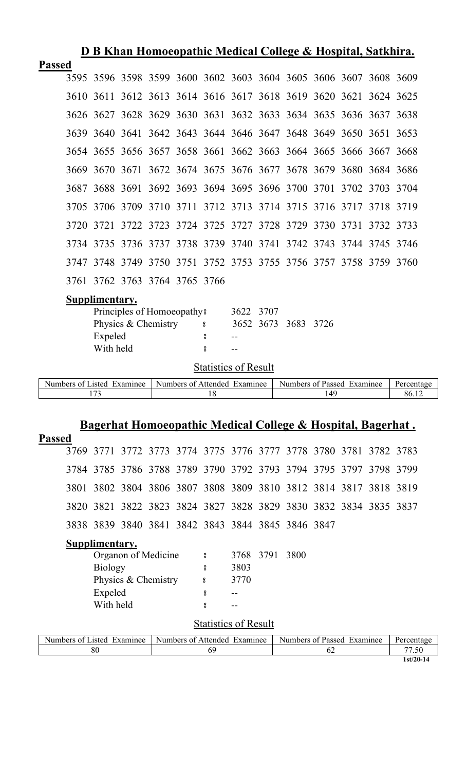|               |      |                |      |                                        |   |           |      |      |      | D B Khan Homoeopathic Medical College & Hospital, Satkhira.      |  |
|---------------|------|----------------|------|----------------------------------------|---|-----------|------|------|------|------------------------------------------------------------------|--|
| <b>Passed</b> |      |                |      |                                        |   |           |      |      |      |                                                                  |  |
|               | 3595 |                |      |                                        |   |           |      |      |      | 3596 3598 3599 3600 3602 3603 3604 3605 3606 3607 3608 3609      |  |
|               | 3610 |                |      |                                        |   |           |      |      |      | 3611 3612 3613 3614 3616 3617 3618 3619 3620 3621 3624 3625      |  |
|               |      |                |      |                                        |   |           |      |      |      | 3626 3627 3628 3629 3630 3631 3632 3633 3634 3635 3636 3637 3638 |  |
|               |      |                |      |                                        |   |           |      |      |      | 3639 3640 3641 3642 3643 3644 3646 3647 3648 3649 3650 3651 3653 |  |
|               |      |                |      |                                        |   |           |      |      |      | 3654 3655 3656 3657 3658 3661 3662 3663 3664 3665 3666 3667 3668 |  |
|               | 3669 | 3670           | 3671 |                                        |   |           |      |      |      | 3672 3674 3675 3676 3677 3678 3679 3680 3684 3686                |  |
|               | 3687 |                |      |                                        |   |           |      |      |      | 3688 3691 3692 3693 3694 3695 3696 3700 3701 3702 3703 3704      |  |
|               | 3705 |                |      |                                        |   |           |      |      |      | 3706 3709 3710 3711 3712 3713 3714 3715 3716 3717 3718 3719      |  |
|               | 3720 |                |      |                                        |   |           |      |      |      | 3721 3722 3723 3724 3725 3727 3728 3729 3730 3731 3732 3733      |  |
|               | 3734 |                |      |                                        |   |           |      |      |      | 3735 3736 3737 3738 3739 3740 3741 3742 3743 3744 3745 3746      |  |
|               | 3747 |                |      |                                        |   |           |      |      |      | 3748 3749 3750 3751 3752 3753 3755 3756 3757 3758 3759 3760      |  |
|               |      |                |      | 3761 3762 3763 3764 3765 3766          |   |           |      |      |      |                                                                  |  |
|               |      | Supplimentary. |      |                                        |   |           |      |      |      |                                                                  |  |
|               |      |                |      | Principles of Homoeopathy <sup>8</sup> |   | 3622      | 3707 |      |      |                                                                  |  |
|               |      |                |      | Physics & Chemistry                    | ° | 3652 3673 |      | 3683 | 3726 |                                                                  |  |
|               |      | Expeled        |      |                                        | 8 |           |      |      |      |                                                                  |  |
|               |      | With held      |      |                                        | 8 | --        |      |      |      |                                                                  |  |

| Examinee<br>usted.<br>$\cdot$ $\alpha^{+}$<br>ners ا | Examinee<br>Numbers of<br>Affended | Examinee<br>Numbers<br>Passed<br>ΩŤ | Jaraan |
|------------------------------------------------------|------------------------------------|-------------------------------------|--------|
| $\sim$                                               |                                    |                                     | 90.    |

# **Bagerhat Homoeopathic Medical College & Hospital, Bagerhat .**

| <b>Passed</b>  |                             |                                                                  |                     |                |  |                                    |      |      |                           |  |                                                                                                                 |                           |
|----------------|-----------------------------|------------------------------------------------------------------|---------------------|----------------|--|------------------------------------|------|------|---------------------------|--|-----------------------------------------------------------------------------------------------------------------|---------------------------|
|                |                             | 3769 3771 3772 3773 3774 3775 3776 3777 3778 3780 3781 3782 3783 |                     |                |  |                                    |      |      |                           |  |                                                                                                                 |                           |
|                |                             | 3784 3785 3786 3788 3789 3790 3792 3793 3794 3795 3797 3798 3799 |                     |                |  |                                    |      |      |                           |  |                                                                                                                 |                           |
|                |                             | 3801 3802 3804 3806 3807 3808 3809 3810 3812 3814 3817 3818 3819 |                     |                |  |                                    |      |      |                           |  |                                                                                                                 |                           |
|                |                             | 3820 3821 3822 3823 3824 3827 3828 3829 3830 3832 3834 3835 3837 |                     |                |  |                                    |      |      |                           |  |                                                                                                                 |                           |
|                |                             | 3838 3839 3840 3841 3842 3843 3844 3845 3846 3847                |                     |                |  |                                    |      |      |                           |  |                                                                                                                 |                           |
|                |                             | Supplimentary.                                                   |                     |                |  |                                    |      |      |                           |  |                                                                                                                 |                           |
|                |                             |                                                                  | Organon of Medicine |                |  | $\overline{\phantom{0}}$           | 3768 | 3791 | 3800                      |  |                                                                                                                 |                           |
|                |                             | <b>Biology</b>                                                   |                     |                |  | $\boldsymbol{S}$                   | 3803 |      |                           |  |                                                                                                                 |                           |
|                |                             |                                                                  | Physics & Chemistry |                |  | $\overline{\phantom{0}}$           | 3770 |      |                           |  |                                                                                                                 |                           |
|                |                             | Expeled                                                          |                     |                |  | 8                                  |      |      |                           |  |                                                                                                                 |                           |
|                |                             | With held                                                        |                     |                |  | å                                  |      |      |                           |  |                                                                                                                 |                           |
|                | <b>Statistics of Result</b> |                                                                  |                     |                |  |                                    |      |      |                           |  |                                                                                                                 |                           |
| $\mathbf{M}$ 1 |                             | $CT$ $\rightarrow$ $T$ $T$                                       | $\bullet$           | $\mathbf{M}$ 1 |  | $0 \ \text{au}$ $1 \ \text{m}$ $1$ |      |      | $\mathbf{M}$ $\mathbf{I}$ |  | $\mathfrak{c}_{\mathbf{D}}$ $\mathfrak{c}_{\mathbf{D}}$ $\mathfrak{c}_{\mathbf{D}}$ $\mathfrak{c}_{\mathbf{D}}$ | $\mathbf{D}$ $\mathbf{A}$ |

| Numbers of Listed Examinee | Numbers of Attended Examinee | Numbers of Passed Examinee | Percentage  |
|----------------------------|------------------------------|----------------------------|-------------|
| 80                         | n                            |                            |             |
|                            |                              |                            | $1st/20-14$ |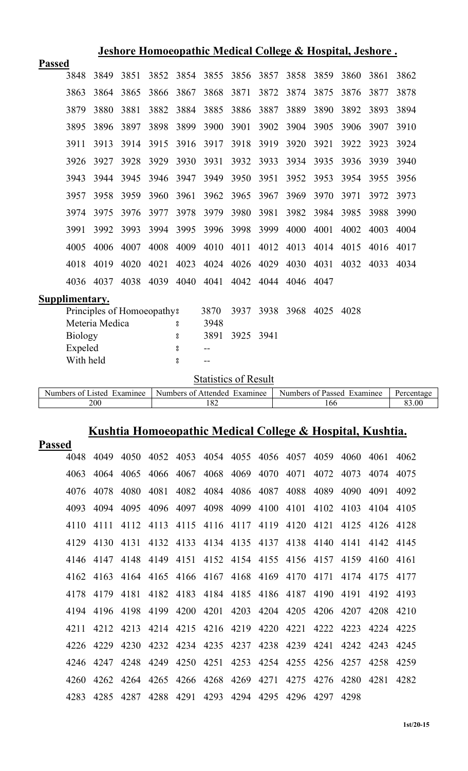| Jeshore Homoeopathic Medical College & Hospital, Jeshore. |                |                |                            |      |                    |                              |      |      |                            |      |      |      |            |
|-----------------------------------------------------------|----------------|----------------|----------------------------|------|--------------------|------------------------------|------|------|----------------------------|------|------|------|------------|
| <b>Passed</b>                                             |                |                |                            |      |                    |                              |      |      |                            |      |      |      |            |
|                                                           | 3848           | 3849           | 3851                       | 3852 | 3854               | 3855                         | 3856 | 3857 | 3858                       | 3859 | 3860 | 3861 | 3862       |
|                                                           | 3863           | 3864           | 3865                       | 3866 | 3867               | 3868                         | 3871 | 3872 | 3874                       | 3875 | 3876 | 3877 | 3878       |
|                                                           | 3879           | 3880           | 3881                       | 3882 | 3884               | 3885                         | 3886 | 3887 | 3889                       | 3890 | 3892 | 3893 | 3894       |
|                                                           | 3895           | 3896           | 3897                       | 3898 | 3899               | 3900                         | 3901 | 3902 | 3904                       | 3905 | 3906 | 3907 | 3910       |
|                                                           | 3911           | 3913           | 3914                       | 3915 | 3916               | 3917                         | 3918 | 3919 | 3920                       | 3921 | 3922 | 3923 | 3924       |
|                                                           | 3926           | 3927           | 3928                       | 3929 | 3930               | 3931                         | 3932 | 3933 | 3934                       | 3935 | 3936 | 3939 | 3940       |
|                                                           | 3943           | 3944           | 3945                       | 3946 | 3947               | 3949                         | 3950 | 3951 | 3952                       | 3953 | 3954 | 3955 | 3956       |
|                                                           | 3957           | 3958           | 3959                       | 3960 | 3961               | 3962                         | 3965 | 3967 | 3969                       | 3970 | 3971 | 3972 | 3973       |
|                                                           | 3974           | 3975           | 3976                       | 3977 | 3978               | 3979                         | 3980 | 3981 | 3982                       | 3984 | 3985 | 3988 | 3990       |
|                                                           | 3991           | 3992           | 3993                       | 3994 | 3995               | 3996                         | 3998 | 3999 | 4000                       | 4001 | 4002 | 4003 | 4004       |
|                                                           | 4005           | 4006           | 4007                       | 4008 | 4009               | 4010                         | 4011 | 4012 | 4013                       | 4014 | 4015 | 4016 | 4017       |
|                                                           | 4018           | 4019           | 4020                       | 4021 | 4023               | 4024                         | 4026 | 4029 | 4030                       | 4031 | 4032 | 4033 | 4034       |
|                                                           | 4036           | 4037           | 4038                       | 4039 | 4040               | 4041                         | 4042 | 4044 | 4046                       | 4047 |      |      |            |
| Supplimentary.                                            |                |                |                            |      |                    |                              |      |      |                            |      |      |      |            |
|                                                           |                |                | Principles of Homoeopathy? |      |                    | 3870                         | 3937 | 3938 | 3968                       | 4025 | 4028 |      |            |
|                                                           |                | Meteria Medica |                            |      | 8                  | 3948                         |      |      |                            |      |      |      |            |
|                                                           | <b>Biology</b> |                |                            |      | 8                  | 3891                         | 3925 | 3941 |                            |      |      |      |            |
|                                                           | Expeled        |                |                            |      | 8                  | $-$ -                        |      |      |                            |      |      |      |            |
|                                                           | With held      |                |                            |      | $^{\circ}_{\circ}$ | $-$                          |      |      |                            |      |      |      |            |
|                                                           |                |                |                            |      |                    | <b>Statistics of Result</b>  |      |      |                            |      |      |      |            |
|                                                           |                |                | Numbers of Listed Examinee |      |                    | Numbers of Attended Examinee |      |      | Numbers of Passed Examinee |      |      |      | Percentage |
|                                                           |                | 200            |                            |      |                    | 182                          |      |      |                            | 166  |      |      | 83.00      |

# **Kushtia Homoeopathic Medical College & Hospital, Kushtia.**

| <b>Passed</b> |      |      |                               |      |           |           |                                         |                |      |                |           |      |
|---------------|------|------|-------------------------------|------|-----------|-----------|-----------------------------------------|----------------|------|----------------|-----------|------|
| 4048          | 4049 |      |                               |      |           |           | 4050 4052 4053 4054 4055 4056 4057 4059 |                |      | 4060           | 4061 4062 |      |
| 4063          | 4064 | 4065 | 4066                          | 4067 |           | 4068 4069 | 4070                                    | 4071           | 4072 | 4073           | 4074      | 4075 |
| 4076          | 4078 | 4080 | 4081                          | 4082 | 4084      | 4086      | 4087                                    | 4088           | 4089 | 4090           | 4091      | 4092 |
| 4093          | 4094 | 4095 | 4096                          | 4097 |           |           | 4098 4099 4100 4101                     |                | 4102 | 4103           | 4104      | 4105 |
| 4110          | 4111 | 4112 | 4113                          | 4115 |           | 4116 4117 | 4119                                    | 4120           | 4121 | 4125           | 4126      | 4128 |
| 4129          | 4130 | 4131 |                               |      |           |           | 4132 4133 4134 4135 4137 4138 4140      |                |      | 4141           | 4142      | 4145 |
| 4146          | 4147 | 4148 | 4149                          | 4151 |           |           | 4152 4154 4155 4156 4157                |                |      | 4159           | 4160      | 4161 |
| 4162          | 4163 | 4164 | 4165                          |      | 4166 4167 |           | 4168 4169 4170                          |                | 4171 | 4174           | 4175      | 4177 |
| 4178          | 4179 | 4181 | 4182                          |      |           |           | 4183 4184 4185 4186 4187 4190           |                |      | 4191           | 4192      | 4193 |
| 4194          | 4196 | 4198 | 4199                          | 4200 | 4201      | 4203      |                                         | 4204 4205      | 4206 | 4207           | 4208      | 4210 |
| 4211          | 4212 | 4213 |                               |      |           |           | 4214 4215 4216 4219 4220 4221           |                | 4222 | 4223           | 4224      | 4225 |
| 4226          | 4229 | 4230 | 4232                          |      | 4234 4235 | 4237      |                                         | 4238 4239 4241 |      | 4242           | 4243      | 4245 |
| 4246          | 4247 | 4248 | 4249                          | 4250 | 4251      | 4253      | 4254                                    | 4255           | 4256 | 4257           | 4258      | 4259 |
| 4260          | 4262 |      | 4264 4265 4266 4268 4269 4271 |      |           |           |                                         |                |      | 4275 4276 4280 | 4281      | 4282 |
| 4283          | 4285 | 4287 | 4288                          | 4291 | 4293      | 4294      | 4295                                    | 4296           | 4297 | 4298           |           |      |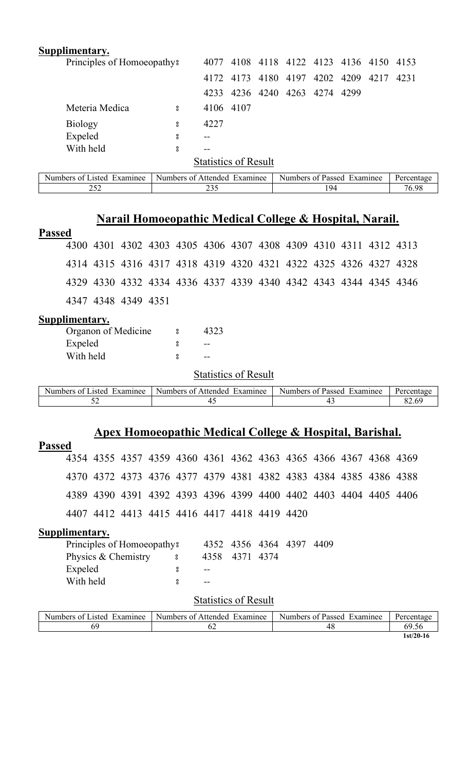| Supplimentary.                         |   |                              |           |                                    |     |                |           |  |
|----------------------------------------|---|------------------------------|-----------|------------------------------------|-----|----------------|-----------|--|
| Principles of Homoeopathy <sup>3</sup> |   | 4077                         |           | 4108 4118 4122 4123 4136 4150 4153 |     |                |           |  |
|                                        |   | 4172                         | 4173      | 4180 4197                          |     | 4202 4209 4217 | 4231      |  |
|                                        |   | 4233                         |           | 4236 4240 4263 4274 4299           |     |                |           |  |
| Meteria Medica                         | å |                              | 4106 4107 |                                    |     |                |           |  |
| <b>Biology</b>                         | 8 | 4227                         |           |                                    |     |                |           |  |
| Expeled                                | 8 |                              |           |                                    |     |                |           |  |
| With held                              | 8 | $- -$                        |           |                                    |     |                |           |  |
|                                        |   | <b>Statistics of Result</b>  |           |                                    |     |                |           |  |
| Numbers of Listed Examinee             |   | Numbers of Attended Examinee |           | Numbers of Passed Examinee         |     |                | Percentag |  |
| 252                                    |   | 235                          |           |                                    | 194 |                | 76.98     |  |

| Examinee<br>. – Numbers of L<br>Examinee<br>Passed | Numbers <b>Numbers</b><br>ΩŤ<br>Affended | $\sim$ $\sim$<br>Numbers of<br>Examinee<br>tsted. |
|----------------------------------------------------|------------------------------------------|---------------------------------------------------|
| 76.98<br>$Q_2$<br>ں ب                              |                                          | ⊷                                                 |
|                                                    |                                          |                                                   |

# **Narail Homoeopathic Medical College & Hospital, Narail.**

| ш | 12SS) | ed |
|---|-------|----|
|   |       |    |

|  |                     |  |  | 4300 4301 4302 4303 4305 4306 4307 4308 4309 4310 4311 4312 4313 |  |  |  |
|--|---------------------|--|--|------------------------------------------------------------------|--|--|--|
|  |                     |  |  | 4314 4315 4316 4317 4318 4319 4320 4321 4322 4325 4326 4327 4328 |  |  |  |
|  |                     |  |  | 4329 4330 4332 4334 4336 4337 4339 4340 4342 4343 4344 4345 4346 |  |  |  |
|  | 4347 4348 4349 4351 |  |  |                                                                  |  |  |  |

## **Supplimentary.**

| Organon of Medicine | ႙   | 4323 |
|---------------------|-----|------|
| Expeled             |     |      |
| With held           | ပ္ဂ |      |

**Statistics of Result** 

| Examinee<br>Numbers<br>asted.<br>nt i | : Attended<br>Numbers of<br>Examinee | Examinee<br>Numbers of Passed | Percentage |
|---------------------------------------|--------------------------------------|-------------------------------|------------|
| ◡▵                                    |                                      |                               | 60         |

## **Apex Homoeopathic Medical College & Hospital, Barishal.**

| <b>Passed</b>  |                             |                                        |  |  |             |                                                                  |           |                |                            |      |  |  |            |  |
|----------------|-----------------------------|----------------------------------------|--|--|-------------|------------------------------------------------------------------|-----------|----------------|----------------------------|------|--|--|------------|--|
|                |                             |                                        |  |  |             | 4354 4355 4357 4359 4360 4361 4362 4363 4365 4366 4367 4368 4369 |           |                |                            |      |  |  |            |  |
|                |                             |                                        |  |  |             | 4370 4372 4373 4376 4377 4379 4381 4382 4383 4384 4385 4386 4388 |           |                |                            |      |  |  |            |  |
|                |                             |                                        |  |  |             | 4389 4390 4391 4392 4393 4396 4399 4400 4402 4403 4404 4405 4406 |           |                |                            |      |  |  |            |  |
|                |                             |                                        |  |  |             | 4407 4412 4413 4415 4416 4417 4418 4419 4420                     |           |                |                            |      |  |  |            |  |
| Supplimentary. |                             |                                        |  |  |             |                                                                  |           |                |                            |      |  |  |            |  |
|                |                             | Principles of Homoeopathy <sup>3</sup> |  |  |             | 4352                                                             |           | 4356 4364 4397 |                            | 4409 |  |  |            |  |
|                |                             | Physics & Chemistry                    |  |  | $8 \t 4358$ |                                                                  | 4371 4374 |                |                            |      |  |  |            |  |
|                | Expeled                     |                                        |  |  | 8           |                                                                  |           |                |                            |      |  |  |            |  |
|                | With held                   |                                        |  |  | 8           |                                                                  |           |                |                            |      |  |  |            |  |
|                | <b>Statistics of Result</b> |                                        |  |  |             |                                                                  |           |                |                            |      |  |  |            |  |
|                |                             | Numbers of Listed Examinee             |  |  |             | Numbers of Attended Examinee                                     |           |                | Numbers of Passed Examinee |      |  |  | Percentage |  |

69 62 48 69.56

**1st/20-16**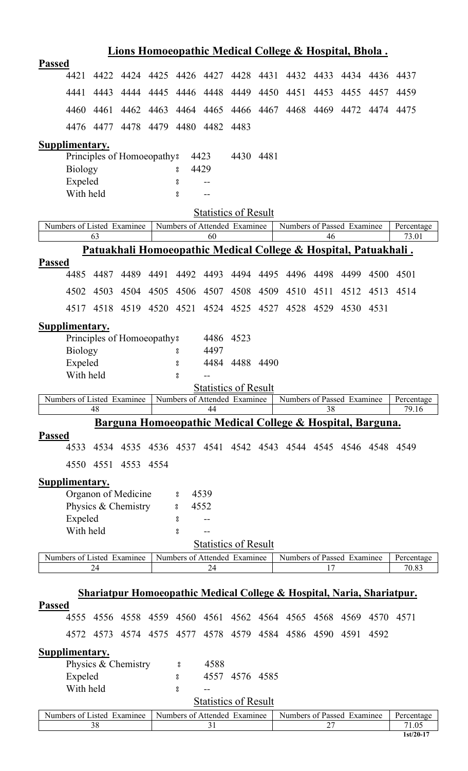|               |                            |           |                                        |      |                              |                             |                |           | Lions Homoeopathic Medical College & Hospital, Bhola.                             |      |      |                |                                    |
|---------------|----------------------------|-----------|----------------------------------------|------|------------------------------|-----------------------------|----------------|-----------|-----------------------------------------------------------------------------------|------|------|----------------|------------------------------------|
| <b>Passed</b> |                            |           |                                        |      |                              |                             |                |           |                                                                                   |      |      |                |                                    |
|               | 4421                       | 4422      |                                        |      |                              |                             |                |           | 4424 4425 4426 4427 4428 4431 4432 4433                                           |      |      | 4434 4436 4437 |                                    |
|               | 4441                       | 4443      | 4444                                   | 4445 |                              | 4446 4448 4449              |                |           | 4450 4451                                                                         | 4453 | 4455 | 4457           | 4459                               |
|               | 4460                       | 4461      | 4462                                   | 4463 |                              | 4464 4465                   |                |           | 4466 4467 4468 4469 4472                                                          |      |      |                | 4474 4475                          |
|               |                            | 4476 4477 |                                        |      | 4478 4479 4480 4482 4483     |                             |                |           |                                                                                   |      |      |                |                                    |
|               | Supplimentary.             |           |                                        |      |                              |                             |                |           |                                                                                   |      |      |                |                                    |
|               |                            |           | Principles of Homoeopathy?             |      |                              | 4423                        |                | 4430 4481 |                                                                                   |      |      |                |                                    |
|               | <b>Biology</b>             |           |                                        |      | 8                            | 4429                        |                |           |                                                                                   |      |      |                |                                    |
|               | Expeled                    |           |                                        |      | 8                            |                             |                |           |                                                                                   |      |      |                |                                    |
|               | With held                  |           |                                        |      | $^{\circ}_{\circ}$           |                             |                |           |                                                                                   |      |      |                |                                    |
|               |                            |           |                                        |      |                              | <b>Statistics of Result</b> |                |           |                                                                                   |      |      |                |                                    |
|               | Numbers of Listed Examinee | 63        |                                        |      | Numbers of Attended Examinee | 60                          |                |           | Numbers of Passed Examinee                                                        | 46   |      |                | Percentage<br>73.01                |
|               |                            |           |                                        |      |                              |                             |                |           | Patuakhali Homoeopathic Medical College & Hospital, Patuakhali.                   |      |      |                |                                    |
| <b>Passed</b> |                            |           |                                        |      |                              |                             |                |           |                                                                                   |      |      |                |                                    |
|               | 4485                       | 4487      | 4489                                   | 4491 |                              | 4492 4493                   | 4494           | 4495      | 4496                                                                              | 4498 | 4499 | 4500           | 4501                               |
|               | 4502                       | 4503      | 4504                                   | 4505 |                              | 4506 4507                   | 4508           |           | 4509 4510                                                                         | 4511 | 4512 | 4513           | 4514                               |
|               |                            | 4517 4518 |                                        |      | 4519 4520 4521               |                             |                |           | 4524 4525 4527 4528                                                               | 4529 | 4530 | 4531           |                                    |
|               | Supplimentary.             |           |                                        |      |                              |                             |                |           |                                                                                   |      |      |                |                                    |
|               |                            |           | Principles of Homoeopathy <sup>8</sup> |      |                              | 4486                        | 4523           |           |                                                                                   |      |      |                |                                    |
|               | <b>Biology</b>             |           |                                        |      | 8                            | 4497                        |                |           |                                                                                   |      |      |                |                                    |
|               | Expeled                    |           |                                        |      | 8                            |                             | 4484 4488 4490 |           |                                                                                   |      |      |                |                                    |
|               | With held                  |           |                                        |      | $\rm ^o$                     |                             |                |           |                                                                                   |      |      |                |                                    |
|               |                            |           |                                        |      |                              | <b>Statistics of Result</b> |                |           |                                                                                   |      |      |                |                                    |
|               |                            |           |                                        |      |                              |                             |                |           |                                                                                   |      |      |                |                                    |
|               |                            |           | Numbers of Listed Examinee             |      | Numbers of Attended Examinee |                             |                |           | Numbers of Passed Examinee                                                        |      |      |                | Percentage                         |
|               |                            | 48        |                                        |      |                              | 44                          |                |           |                                                                                   | 38   |      |                | 79.16                              |
|               |                            |           |                                        |      |                              |                             |                |           | Barguna Homoeopathic Medical College & Hospital, Barguna.                         |      |      |                |                                    |
| <b>Passed</b> | 4533                       |           |                                        |      |                              |                             |                |           | 4534 4535 4536 4537 4541 4542 4543 4544 4545 4546 4548 4549                       |      |      |                |                                    |
|               |                            | 4550 4551 | 4553 4554                              |      |                              |                             |                |           |                                                                                   |      |      |                |                                    |
|               |                            |           |                                        |      |                              |                             |                |           |                                                                                   |      |      |                |                                    |
|               | Supplimentary.             |           |                                        |      |                              |                             |                |           |                                                                                   |      |      |                |                                    |
|               |                            |           | Organon of Medicine                    |      | 8                            | 4539                        |                |           |                                                                                   |      |      |                |                                    |
|               |                            |           | Physics & Chemistry                    |      | 8                            | 4552                        |                |           |                                                                                   |      |      |                |                                    |
|               | Expeled                    |           |                                        |      | 8                            |                             |                |           |                                                                                   |      |      |                |                                    |
|               | With held                  |           |                                        |      | $\rm ^o$                     |                             |                |           |                                                                                   |      |      |                |                                    |
|               |                            |           |                                        |      |                              | <b>Statistics of Result</b> |                |           |                                                                                   |      |      |                |                                    |
|               | Numbers of Listed Examinee |           |                                        |      | Numbers of Attended Examinee |                             |                |           | Numbers of Passed Examinee                                                        |      |      |                | Percentage                         |
|               |                            | 24        |                                        |      |                              | 24                          |                |           |                                                                                   | 17   |      |                | 70.83                              |
|               |                            |           |                                        |      |                              |                             |                |           |                                                                                   |      |      |                |                                    |
|               |                            |           |                                        |      |                              |                             |                |           | <b>Shariatpur Homoeopathic Medical College &amp; Hospital, Naria, Shariatpur.</b> |      |      |                |                                    |
| Passed        | 4555                       |           |                                        |      |                              |                             |                |           | 4556 4558 4559 4560 4561 4562 4564 4565 4568 4569                                 |      |      |                | 4570 4571                          |
|               |                            | 4572 4573 | 4574 4575                              |      |                              |                             |                |           | 4577 4578 4579 4584 4586 4590                                                     |      | 4591 | 4592           |                                    |
|               |                            |           |                                        |      |                              |                             |                |           |                                                                                   |      |      |                |                                    |
|               | <b>Supplimentary.</b>      |           | Physics & Chemistry                    |      | °                            | 4588                        |                |           |                                                                                   |      |      |                |                                    |
|               |                            |           |                                        |      | 8                            |                             | 4557 4576 4585 |           |                                                                                   |      |      |                |                                    |
|               | Expeled<br>With held       |           |                                        |      | 8                            |                             |                |           |                                                                                   |      |      |                |                                    |
|               |                            |           |                                        |      |                              | <b>Statistics of Result</b> |                |           |                                                                                   |      |      |                |                                    |
|               |                            |           |                                        |      |                              |                             |                |           |                                                                                   |      |      |                |                                    |
|               | Numbers of Listed Examinee | 38        |                                        |      | Numbers of Attended Examinee | 31                          |                |           | Numbers of Passed Examinee                                                        | 27   |      |                | Percentage<br>71.05<br>$1st/20-17$ |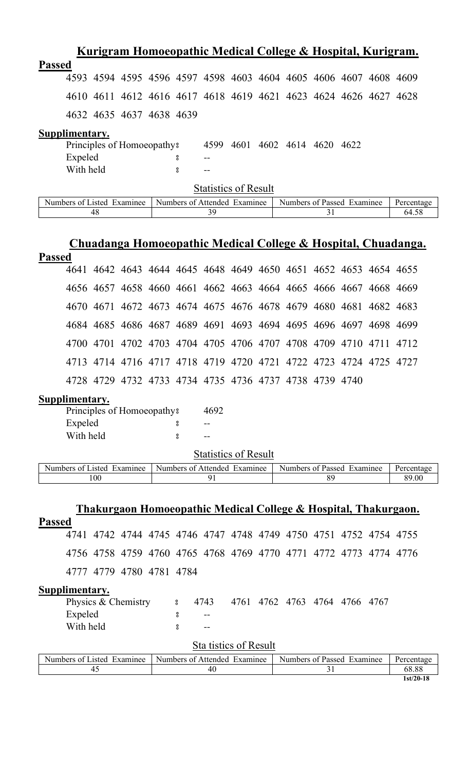|               |                |  |                                        |   |      |      |  |                |      | Kurigram Homoeopathic Medical College & Hospital, Kurigram. |      |
|---------------|----------------|--|----------------------------------------|---|------|------|--|----------------|------|-------------------------------------------------------------|------|
| <b>Passed</b> |                |  |                                        |   |      |      |  |                |      |                                                             |      |
|               | 4593           |  |                                        |   |      |      |  |                |      | 4594 4595 4596 4597 4598 4603 4604 4605 4606 4607 4608 4609 |      |
|               | 4610           |  |                                        |   |      |      |  |                |      | 4611 4612 4616 4617 4618 4619 4621 4623 4624 4626 4627      | 4628 |
|               |                |  | 4632 4635 4637 4638 4639               |   |      |      |  |                |      |                                                             |      |
|               | Supplimentary. |  |                                        |   |      |      |  |                |      |                                                             |      |
|               |                |  | Principles of Homoeopathy <sup>3</sup> |   | 4599 | 4601 |  | 4602 4614 4620 | 4622 |                                                             |      |
|               | Expeled        |  |                                        | 8 |      |      |  |                |      |                                                             |      |
|               | With held      |  |                                        | 8 |      |      |  |                |      |                                                             |      |
|               |                |  |                                        |   |      |      |  |                |      |                                                             |      |

| Examinee<br>usted.<br>nt I<br>Numbers | Examinee<br>Numbers of Attended | Examinee<br>Numbers of<br>Passed | Percentage |
|---------------------------------------|---------------------------------|----------------------------------|------------|
| 46                                    |                                 |                                  | 64.5.      |

# **Chuadanga Homoeopathic Medical College & Hospital, Chuadanga.**

| <b>Passed</b> |                                                                  |  |  |  |  |  |  |
|---------------|------------------------------------------------------------------|--|--|--|--|--|--|
|               | 4641 4642 4643 4644 4645 4648 4649 4650 4651 4652 4653 4654 4655 |  |  |  |  |  |  |
|               | 4656 4657 4658 4660 4661 4662 4663 4664 4665 4666 4667 4668 4669 |  |  |  |  |  |  |
|               | 4670 4671 4672 4673 4674 4675 4676 4678 4679 4680 4681 4682 4683 |  |  |  |  |  |  |
|               | 4684 4685 4686 4687 4689 4691 4693 4694 4695 4696 4697 4698 4699 |  |  |  |  |  |  |
|               | 4700 4701 4702 4703 4704 4705 4706 4707 4708 4709 4710 4711 4712 |  |  |  |  |  |  |
|               | 4713 4714 4716 4717 4718 4719 4720 4721 4722 4723 4724 4725 4727 |  |  |  |  |  |  |
|               | 4728 4729 4732 4733 4734 4735 4736 4737 4738 4739 4740           |  |  |  |  |  |  |

## **Supplimentary.**

| Principles of Homoeopathy? | 4692 |
|----------------------------|------|
| Expeled                    | --   |
| With held                  |      |

| $\sim$ $\sim$<br>Examinee<br>4sted<br>Numbers<br>0Ť | Numbers of<br>Attended<br>Examinee | Examinee<br>Numbers<br>of Passed | Percentage |
|-----------------------------------------------------|------------------------------------|----------------------------------|------------|
| 100                                                 |                                    |                                  | 89.00      |

| Thakurgaon Homoeopathic Medical College & Hospital, Thakurgaon.                                |             |                       |      |                          |  |               |
|------------------------------------------------------------------------------------------------|-------------|-----------------------|------|--------------------------|--|---------------|
| <b>Passed</b>                                                                                  |             |                       |      |                          |  |               |
| 4742 4744 4745 4746 4747 4748 4749 4750 4751 4752 4754 4755<br>4741                            |             |                       |      |                          |  |               |
| 4756 4758 4759 4760 4765 4768 4769 4770 4771 4772 4773 4774 4776                               |             |                       |      |                          |  |               |
| 4777 4779 4780 4781 4784                                                                       |             |                       |      |                          |  |               |
| Supplimentary.                                                                                 |             |                       |      |                          |  |               |
| Physics & Chemistry                                                                            | $8^{\circ}$ | 4743                  | 4761 | 4762 4763 4764 4766 4767 |  |               |
| Expeled                                                                                        | 8           |                       |      |                          |  |               |
| With held                                                                                      | 8           |                       |      |                          |  |               |
|                                                                                                |             | Sta tistics of Result |      |                          |  |               |
| Munking of I ideal From the C. Munking of Addin 4.4. From the co. Munking of Deceal From the c |             |                       |      |                          |  | $D$ and anti- |

| Numbers of Listed<br>Examinee | Numbers of Attended<br>Examinee | Numbers of Passed<br>Examinee | Percentage  |
|-------------------------------|---------------------------------|-------------------------------|-------------|
| 4.                            | 40                              | ັ                             | 68.88       |
|                               |                                 |                               | $1st/20-18$ |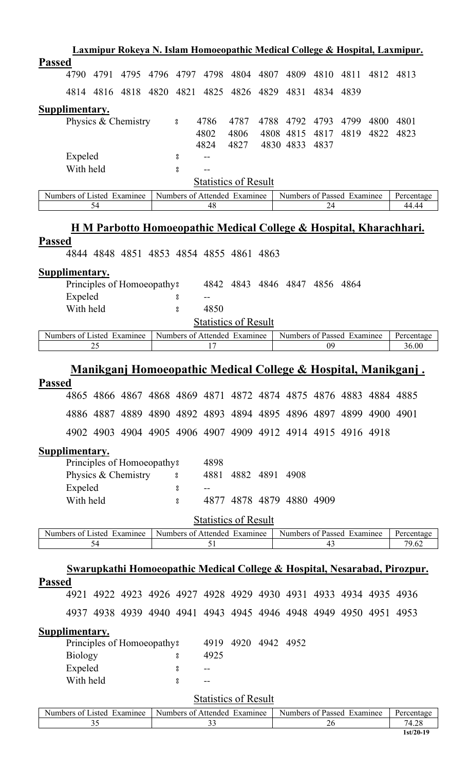|               |                       |      |                            |      |          |                                                                  |                               |      |                            |      |      |      | Laxmipur Rokeya N. Islam Homoeopathic Medical College & Hospital, Laxmipur.          |
|---------------|-----------------------|------|----------------------------|------|----------|------------------------------------------------------------------|-------------------------------|------|----------------------------|------|------|------|--------------------------------------------------------------------------------------|
| <b>Passed</b> |                       |      |                            |      |          |                                                                  |                               |      |                            |      |      |      |                                                                                      |
|               | 4790                  | 4791 | 4795                       | 4796 | 4797     | 4798                                                             | 4804                          | 4807 | 4809                       | 4810 | 4811 |      | 4812 4813                                                                            |
|               |                       |      | 4814 4816 4818 4820        |      | 4821     | 4825                                                             | 4826                          | 4829 | 4831                       | 4834 | 4839 |      |                                                                                      |
|               | <b>Supplimentary.</b> |      |                            |      |          |                                                                  |                               |      |                            |      |      |      |                                                                                      |
|               |                       |      | Physics & Chemistry        |      | °        | 4786                                                             | 4787                          | 4788 | 4792                       | 4793 | 4799 | 4800 | 4801                                                                                 |
|               |                       |      |                            |      |          | 4802                                                             | 4806                          |      | 4808 4815                  | 4817 | 4819 |      | 4822 4823                                                                            |
|               |                       |      |                            |      |          | 4824                                                             | 4827                          |      | 4830 4833                  | 4837 |      |      |                                                                                      |
|               | Expeled               |      |                            |      | 8        |                                                                  |                               |      |                            |      |      |      |                                                                                      |
|               | With held             |      |                            |      | 8        |                                                                  |                               |      |                            |      |      |      |                                                                                      |
|               |                       |      |                            |      |          | <b>Statistics of Result</b><br>Numbers of Attended Examinee      |                               |      | Numbers of Passed Examinee |      |      |      |                                                                                      |
|               |                       | 54   | Numbers of Listed Examinee |      |          | 48                                                               |                               |      |                            | 24   |      |      | Percentage<br>44.44                                                                  |
|               |                       |      |                            |      |          |                                                                  |                               |      |                            |      |      |      |                                                                                      |
|               |                       |      |                            |      |          |                                                                  |                               |      |                            |      |      |      | <u>H M Parbotto Homoeopathic Medical College &amp; Hospital, Kharachhari.</u>        |
| <b>Passed</b> |                       |      |                            |      |          |                                                                  |                               |      |                            |      |      |      |                                                                                      |
|               |                       |      |                            |      |          | 4844 4848 4851 4853 4854 4855 4861 4863                          |                               |      |                            |      |      |      |                                                                                      |
|               | <b>Supplimentary.</b> |      |                            |      |          |                                                                  |                               |      |                            |      |      |      |                                                                                      |
|               |                       |      | Principles of Homoeopathy? |      |          |                                                                  | 4842 4843 4846 4847 4856 4864 |      |                            |      |      |      |                                                                                      |
|               | Expeled               |      |                            |      | 8        |                                                                  |                               |      |                            |      |      |      |                                                                                      |
|               | With held             |      |                            |      | $\bf{S}$ | 4850                                                             |                               |      |                            |      |      |      |                                                                                      |
|               |                       |      |                            |      |          | <b>Statistics of Result</b>                                      |                               |      |                            |      |      |      |                                                                                      |
|               |                       |      | Numbers of Listed Examinee |      |          | Numbers of Attended Examinee                                     |                               |      | Numbers of Passed Examinee |      |      |      | Percentage                                                                           |
|               |                       | 25   |                            |      |          | 17                                                               |                               |      |                            | 09   |      |      | 36.00                                                                                |
|               |                       |      |                            |      |          |                                                                  |                               |      |                            |      |      |      | <u> Manikganj Homoeopathic Medical College &amp; Hospital, Manikganj.</u>            |
| <b>Passed</b> |                       |      |                            |      |          |                                                                  |                               |      |                            |      |      |      |                                                                                      |
|               |                       |      |                            |      |          | 4865 4866 4867 4868 4869 4871 4872 4874 4875 4876 4883 4884 4885 |                               |      |                            |      |      |      |                                                                                      |
|               |                       |      |                            |      |          | 4886 4887 4889 4890 4892 4893 4894 4895 4896 4897 4899 4900 4901 |                               |      |                            |      |      |      |                                                                                      |
|               |                       |      |                            |      |          | 4902 4903 4904 4905 4906 4907 4909 4912 4914 4915 4916 4918      |                               |      |                            |      |      |      |                                                                                      |
|               |                       |      |                            |      |          |                                                                  |                               |      |                            |      |      |      |                                                                                      |
|               | <b>Supplimentary.</b> |      | Principles of Homoeopathy? |      |          | 4898                                                             |                               |      |                            |      |      |      |                                                                                      |
|               |                       |      | Physics & Chemistry        |      | $\rm ^o$ | 4881                                                             |                               |      | 4882 4891 4908             |      |      |      |                                                                                      |
|               | Expeled               |      |                            |      | 8        |                                                                  |                               |      |                            |      |      |      |                                                                                      |
|               | With held             |      |                            |      | 8        |                                                                  | 4877 4878 4879 4880 4909      |      |                            |      |      |      |                                                                                      |
|               |                       |      |                            |      |          |                                                                  |                               |      |                            |      |      |      |                                                                                      |
|               |                       |      |                            |      |          | <b>Statistics of Result</b>                                      |                               |      |                            |      |      |      |                                                                                      |
|               |                       | 54   | Numbers of Listed Examinee |      |          | Numbers of Attended Examinee<br>51                               |                               |      | Numbers of Passed Examinee | 43   |      |      | Percentage<br>79.62                                                                  |
|               |                       |      |                            |      |          |                                                                  |                               |      |                            |      |      |      |                                                                                      |
|               |                       |      |                            |      |          |                                                                  |                               |      |                            |      |      |      | <u>Swarupkathi Homoeopathic Medical College &amp; Hospital, Nesarabad, Pirozpur.</u> |
| <b>Passed</b> |                       |      |                            |      |          |                                                                  |                               |      |                            |      |      |      |                                                                                      |
|               |                       |      |                            |      |          | 4921 4922 4923 4926 4927 4928 4929 4930 4931 4933 4934 4935 4936 |                               |      |                            |      |      |      |                                                                                      |
|               |                       |      |                            |      |          | 4937 4938 4939 4940 4941 4943 4945 4946 4948 4949 4950 4951 4953 |                               |      |                            |      |      |      |                                                                                      |
|               | Supplimentary.        |      |                            |      |          |                                                                  |                               |      |                            |      |      |      |                                                                                      |
|               |                       |      | Principles of Homoeopathy? |      |          |                                                                  | 4919 4920 4942 4952           |      |                            |      |      |      |                                                                                      |
|               | <b>Biology</b>        |      |                            |      | °        | 4925                                                             |                               |      |                            |      |      |      |                                                                                      |
|               | Expeled               |      |                            |      | 8        |                                                                  |                               |      |                            |      |      |      |                                                                                      |
|               | With held             |      |                            |      | $\rm ^o$ |                                                                  |                               |      |                            |      |      |      |                                                                                      |
|               |                       |      |                            |      |          | <b>Statistics of Result</b>                                      |                               |      |                            |      |      |      |                                                                                      |
|               |                       |      |                            |      |          |                                                                  |                               |      |                            |      |      |      |                                                                                      |

| Numbers of Listed<br>Examinee | Examinee<br>Numbers of Attended | Numbers of Passed Examinee | Percentage |
|-------------------------------|---------------------------------|----------------------------|------------|
|                               | ັ                               | ۷Ľ                         | 74.28      |
|                               |                                 |                            | 1st/20-19  |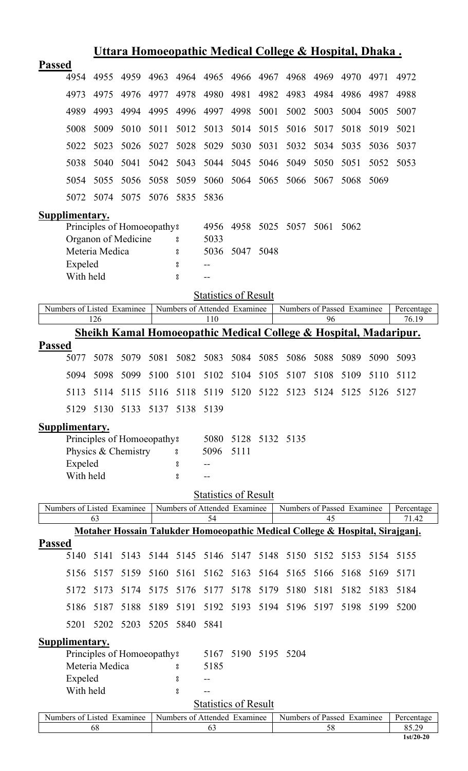|               |                       |                |                            |      |      |                                    |           |      | <u> Uttara Homoeopathic Medical College &amp; Hospital, Dhaka.</u>           |      |      |      |                     |
|---------------|-----------------------|----------------|----------------------------|------|------|------------------------------------|-----------|------|------------------------------------------------------------------------------|------|------|------|---------------------|
| <b>Passed</b> |                       |                |                            |      |      |                                    |           |      |                                                                              |      |      |      |                     |
|               | 4954                  | 4955           | 4959                       | 4963 | 4964 | 4965                               | 4966      | 4967 | 4968                                                                         | 4969 | 4970 | 4971 | 4972                |
|               | 4973                  | 4975           | 4976                       | 4977 | 4978 | 4980                               | 4981      | 4982 | 4983                                                                         | 4984 | 4986 | 4987 | 4988                |
|               | 4989                  | 4993           | 4994                       | 4995 | 4996 | 4997                               | 4998      | 5001 | 5002                                                                         | 5003 | 5004 | 5005 | 5007                |
|               | 5008                  | 5009           | 5010                       | 5011 | 5012 | 5013                               | 5014      | 5015 | 5016                                                                         | 5017 | 5018 | 5019 | 5021                |
|               | 5022                  | 5023           | 5026                       | 5027 | 5028 | 5029                               | 5030      | 5031 | 5032                                                                         | 5034 | 5035 | 5036 | 5037                |
|               | 5038                  | 5040           | 5041                       | 5042 | 5043 | 5044                               | 5045      | 5046 | 5049                                                                         | 5050 | 5051 | 5052 | 5053                |
|               | 5054                  | 5055           | 5056                       | 5058 | 5059 | 5060                               | 5064      | 5065 | 5066                                                                         | 5067 | 5068 | 5069 |                     |
|               | 5072                  | 5074           | 5075                       | 5076 | 5835 | 5836                               |           |      |                                                                              |      |      |      |                     |
|               | Supplimentary.        |                |                            |      |      |                                    |           |      |                                                                              |      |      |      |                     |
|               |                       |                | Principles of Homoeopathy? |      |      | 4956                               | 4958      | 5025 | 5057                                                                         | 5061 | 5062 |      |                     |
|               |                       |                | Organon of Medicine        |      | 8    | 5033                               |           |      |                                                                              |      |      |      |                     |
|               |                       | Meteria Medica |                            |      | ိ    | 5036                               | 5047      | 5048 |                                                                              |      |      |      |                     |
|               | Expeled               |                |                            |      | 8    |                                    |           |      |                                                                              |      |      |      |                     |
|               | With held             |                |                            |      | 8    | $-$                                |           |      |                                                                              |      |      |      |                     |
|               |                       |                |                            |      |      | <b>Statistics of Result</b>        |           |      |                                                                              |      |      |      |                     |
|               |                       |                | Numbers of Listed Examinee |      |      | Numbers of Attended Examinee       |           |      | Numbers of Passed Examinee                                                   |      |      |      | Percentage          |
|               |                       | 126            |                            |      |      | 110                                |           |      |                                                                              | 96   |      |      | $\overline{76.19}$  |
|               |                       |                |                            |      |      |                                    |           |      | Sheikh Kamal Homoeopathic Medical College & Hospital, Madaripur.             |      |      |      |                     |
| <b>Passed</b> | 5077                  | 5078           | 5079                       | 5081 | 5082 | 5083                               | 5084      | 5085 | 5086                                                                         | 5088 | 5089 | 5090 | 5093                |
|               | 5094                  | 5098           | 5099                       | 5100 | 5101 | 5102                               | 5104      | 5105 | 5107                                                                         | 5108 | 5109 | 5110 | 5112                |
|               | 5113                  |                |                            |      |      |                                    |           |      | 5114 5115 5116 5118 5119 5120 5122 5123 5124 5125 5126 5127                  |      |      |      |                     |
|               | 5129                  | 5130           | 5133                       | 5137 | 5138 | 5139                               |           |      |                                                                              |      |      |      |                     |
|               | <b>Supplimentary.</b> |                |                            |      |      |                                    |           |      |                                                                              |      |      |      |                     |
|               |                       |                | Principles of Homoeopathy? |      |      | 5080                               | 5128      |      | 5132 5135                                                                    |      |      |      |                     |
|               |                       |                | Physics & Chemistry        |      | °    | 5096                               | 5111      |      |                                                                              |      |      |      |                     |
|               | Expeled               |                |                            |      | 8    |                                    |           |      |                                                                              |      |      |      |                     |
|               | With held             |                |                            |      | °    |                                    |           |      |                                                                              |      |      |      |                     |
|               |                       |                |                            |      |      | <b>Statistics of Result</b>        |           |      |                                                                              |      |      |      |                     |
|               |                       |                | Numbers of Listed Examinee |      |      | Numbers of Attended Examinee       |           |      | Numbers of Passed Examinee                                                   |      |      |      | Percentage          |
|               |                       | 63             |                            |      |      | 54                                 |           |      |                                                                              | 45   |      |      | 71.42               |
|               |                       |                |                            |      |      |                                    |           |      | Motaher Hossain Talukder Homoeopathic Medical College & Hospital, Sirajganj. |      |      |      |                     |
| <b>Passed</b> | 5140                  | 5141           | 5143                       |      |      | 5144 5145 5146 5147                |           | 5148 | 5150                                                                         | 5152 | 5153 | 5154 | 5155                |
|               | 5156                  | 5157           | 5159                       | 5160 | 5161 | 5162                               | 5163      | 5164 | 5165                                                                         | 5166 | 5168 | 5169 | 5171                |
|               | 5172                  | 5173           | 5174                       | 5175 | 5176 | 5177                               | 5178      | 5179 | 5180                                                                         | 5181 | 5182 | 5183 | 5184                |
|               | 5186                  | 5187           | 5188                       | 5189 | 5191 |                                    | 5192 5193 |      | 5194 5196 5197                                                               |      | 5198 | 5199 | 5200                |
|               | 5201                  | 5202           | 5203                       | 5205 | 5840 | 5841                               |           |      |                                                                              |      |      |      |                     |
|               | Supplimentary.        |                |                            |      |      |                                    |           |      |                                                                              |      |      |      |                     |
|               |                       |                | Principles of Homoeopathy? |      |      | 5167                               |           |      | 5190 5195 5204                                                               |      |      |      |                     |
|               |                       |                |                            |      |      |                                    |           |      |                                                                              |      |      |      |                     |
|               |                       | Meteria Medica |                            |      | ိ    | 5185                               |           |      |                                                                              |      |      |      |                     |
|               | Expeled               |                |                            |      | 8    |                                    |           |      |                                                                              |      |      |      |                     |
|               | With held             |                |                            |      | °    |                                    |           |      |                                                                              |      |      |      |                     |
|               |                       |                |                            |      |      | <b>Statistics of Result</b>        |           |      |                                                                              |      |      |      |                     |
|               |                       | 68             | Numbers of Listed Examinee |      |      | Numbers of Attended Examinee<br>63 |           |      | Numbers of Passed Examinee                                                   | 58   |      |      | Percentage<br>85.29 |
|               |                       |                |                            |      |      |                                    |           |      |                                                                              |      |      |      |                     |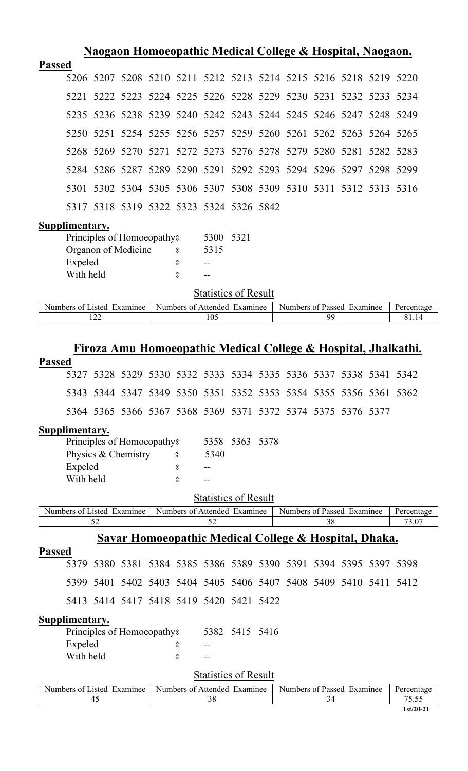|               |                       |      |                                                   |               |                                     |                | <u>Naogaon Homoeopathic Medical College &amp; Hospital, Naogaon.</u> |    |  |                     |
|---------------|-----------------------|------|---------------------------------------------------|---------------|-------------------------------------|----------------|----------------------------------------------------------------------|----|--|---------------------|
| <b>Passed</b> |                       |      |                                                   |               |                                     |                |                                                                      |    |  |                     |
|               |                       |      |                                                   |               |                                     |                | 5206 5207 5208 5210 5211 5212 5213 5214 5215 5216 5218 5219 5220     |    |  |                     |
|               | 5221                  |      |                                                   |               |                                     |                | 5222 5223 5224 5225 5226 5228 5229 5230 5231 5232 5233 5234          |    |  |                     |
|               | 5235                  |      |                                                   |               |                                     |                | 5236 5238 5239 5240 5242 5243 5244 5245 5246 5247 5248 5249          |    |  |                     |
|               | 5250                  | 5251 |                                                   |               |                                     |                | 5254 5255 5256 5257 5259 5260 5261 5262 5263 5264 5265               |    |  |                     |
|               |                       |      |                                                   |               |                                     |                | 5268 5269 5270 5271 5272 5273 5276 5278 5279 5280 5281               |    |  | 5282 5283           |
|               |                       |      |                                                   |               |                                     |                | 5284 5286 5287 5289 5290 5291 5292 5293 5294 5296 5297 5298 5299     |    |  |                     |
|               | 5301                  |      |                                                   |               |                                     |                | 5302 5304 5305 5306 5307 5308 5309 5310 5311 5312 5313 5316          |    |  |                     |
|               |                       |      | 5317 5318 5319 5322 5323 5324 5326 5842           |               |                                     |                |                                                                      |    |  |                     |
|               | Supplimentary.        |      |                                                   |               |                                     |                |                                                                      |    |  |                     |
|               |                       |      | Principles of Homoeopathy?                        |               | 5300                                | 5321           |                                                                      |    |  |                     |
|               | Expeled               |      | Organon of Medicine                               | $\rm ^o$<br>8 | 5315                                |                |                                                                      |    |  |                     |
|               | With held             |      |                                                   | 8             |                                     |                |                                                                      |    |  |                     |
|               |                       |      |                                                   |               | <b>Statistics of Result</b>         |                |                                                                      |    |  |                     |
|               |                       | 122  | Numbers of Listed Examinee                        |               | Numbers of Attended Examinee<br>105 |                | Numbers of Passed Examinee                                           | 99 |  | Percentage<br>81.14 |
|               |                       |      |                                                   |               |                                     |                |                                                                      |    |  |                     |
|               |                       |      |                                                   |               |                                     |                | Firoza Amu Homoeopathic Medical College & Hospital, Jhalkathi.       |    |  |                     |
| <b>Passed</b> |                       |      |                                                   |               |                                     |                |                                                                      |    |  |                     |
|               | 5327                  |      |                                                   |               |                                     |                | 5328 5329 5330 5332 5333 5334 5335 5336 5337 5338 5341 5342          |    |  |                     |
|               |                       |      |                                                   |               |                                     |                | 5343 5344 5347 5349 5350 5351 5352 5353 5354 5355 5356 5361 5362     |    |  |                     |
|               |                       |      |                                                   |               |                                     |                | 5364 5365 5366 5367 5368 5369 5371 5372 5374 5375 5376 5377          |    |  |                     |
|               | Supplimentary.        |      |                                                   |               |                                     |                |                                                                      |    |  |                     |
|               |                       |      | Principles of Homoeopathy?<br>Physics & Chemistry | °             | 5340                                | 5358 5363 5378 |                                                                      |    |  |                     |
|               | Expeled               |      |                                                   | °             |                                     |                |                                                                      |    |  |                     |
|               | With held             |      |                                                   | 8             |                                     |                |                                                                      |    |  |                     |
|               |                       |      |                                                   |               | <b>Statistics of Result</b>         |                |                                                                      |    |  |                     |
|               |                       | 52   | Numbers of Listed Examinee                        |               | Numbers of Attended Examinee<br>52  |                | Numbers of Passed Examinee                                           | 38 |  | Percentage<br>73.07 |
|               |                       |      |                                                   |               |                                     |                | <u>Savar Homoeopathic Medical College &amp; Hospital, Dhaka.</u>     |    |  |                     |
| <b>Passed</b> |                       |      |                                                   |               |                                     |                |                                                                      |    |  |                     |
|               | 5379                  |      |                                                   |               |                                     |                | 5380 5381 5384 5385 5386 5389 5390 5391 5394 5395 5397 5398          |    |  |                     |
|               |                       |      |                                                   |               |                                     |                | 5399 5401 5402 5403 5404 5405 5406 5407 5408 5409 5410 5411 5412     |    |  |                     |
|               |                       |      | 5413 5414 5417 5418 5419 5420 5421 5422           |               |                                     |                |                                                                      |    |  |                     |
|               | <b>Supplimentary.</b> |      |                                                   |               |                                     |                |                                                                      |    |  |                     |
|               | Expeled               |      | Principles of Homoeopathy?                        |               |                                     | 5382 5415 5416 |                                                                      |    |  |                     |
|               | With held             |      |                                                   | 8<br>8        |                                     |                |                                                                      |    |  |                     |
|               |                       |      |                                                   |               | <b>Statistics of Result</b>         |                |                                                                      |    |  |                     |
|               |                       |      | Numbers of Listed Examinee                        |               | Numbers of Attended Examinee        |                | Numbers of Passed Examinee                                           |    |  | Percentage          |
|               |                       | 45   |                                                   |               | 38                                  |                |                                                                      | 34 |  | 75.55               |

 $\lfloor$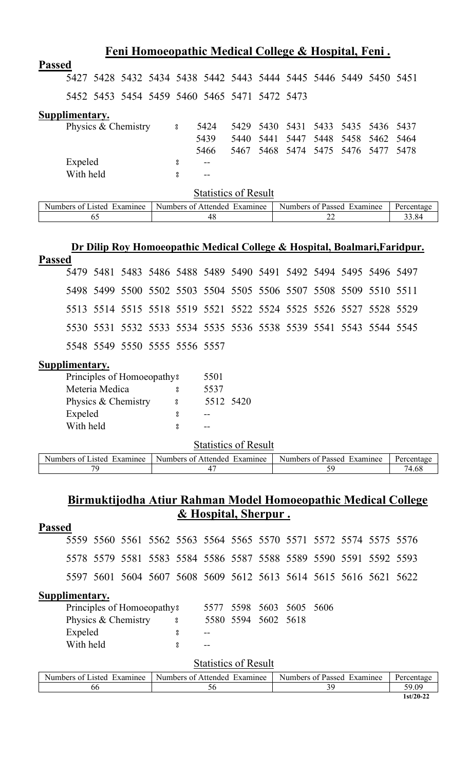|               |                |                     |  |                | Feni Homoeopathic Medical College & Hospital, Feni.              |      |                                    |  |                               |      |
|---------------|----------------|---------------------|--|----------------|------------------------------------------------------------------|------|------------------------------------|--|-------------------------------|------|
| <b>Passed</b> |                |                     |  |                |                                                                  |      |                                    |  |                               |      |
|               |                |                     |  |                | 5427 5428 5432 5434 5438 5442 5443 5444 5445 5446 5449 5450 5451 |      |                                    |  |                               |      |
|               |                |                     |  |                | 5452 5453 5454 5459 5460 5465 5471 5472 5473                     |      |                                    |  |                               |      |
|               | Supplimentary. |                     |  |                |                                                                  |      |                                    |  |                               |      |
|               |                | Physics & Chemistry |  | 8 <sup>o</sup> | 5424                                                             | 5429 |                                    |  | 5430 5431 5433 5435 5436 5437 |      |
|               |                |                     |  |                | 5439                                                             | 5440 |                                    |  | 5441 5447 5448 5458 5462 5464 |      |
|               |                |                     |  |                | 5466                                                             | 5467 |                                    |  | 5468 5474 5475 5476 5477      | 5478 |
|               | Expeled        |                     |  | 8              | $- -$                                                            |      |                                    |  |                               |      |
|               | With held      |                     |  | ႙              |                                                                  |      |                                    |  |                               |      |
|               |                |                     |  |                |                                                                  |      | $\sim$ $\sim$ $\sim$ $\sim$ $\sim$ |  |                               |      |

| *xamınee<br>$\mathbf{N}$<br>1stec<br>uhers.<br>$\Omega$ | xamınee!<br>Numbers,<br>Affendec<br>ി | <b>Numbers</b><br>xaminee<br>Passec<br>$\mathbf{r}$ |  |
|---------------------------------------------------------|---------------------------------------|-----------------------------------------------------|--|
| υ.                                                      | 46                                    | $\overline{\phantom{a}}$<br><u>_</u>                |  |

#### **Dr Dilip Roy Homoeopathic Medical College & Hospital, Boalmari,Faridpur.**

| <b>Passed</b> |  |  |                               |  |  |  |                                                                  |  |
|---------------|--|--|-------------------------------|--|--|--|------------------------------------------------------------------|--|
|               |  |  |                               |  |  |  | 5479 5481 5483 5486 5488 5489 5490 5491 5492 5494 5495 5496 5497 |  |
|               |  |  |                               |  |  |  | 5498 5499 5500 5502 5503 5504 5505 5506 5507 5508 5509 5510 5511 |  |
|               |  |  |                               |  |  |  | 5513 5514 5515 5518 5519 5521 5522 5524 5525 5526 5527 5528 5529 |  |
|               |  |  |                               |  |  |  | 5530 5531 5532 5533 5534 5535 5536 5538 5539 5541 5543 5544 5545 |  |
|               |  |  | 5548 5549 5550 5555 5556 5557 |  |  |  |                                                                  |  |
| Supplimentary |  |  |                               |  |  |  |                                                                  |  |

| Supplimentary. |
|----------------|
|----------------|

| Principles of Homoeopathy? |   | 5501      |  |
|----------------------------|---|-----------|--|
| Meteria Medica             | 8 | 5537      |  |
| Physics & Chemistry        | 8 | 5512 5420 |  |
| Expeled                    | 8 |           |  |
| With held                  | 8 |           |  |
|                            |   |           |  |

#### **Statistics of Result**

| Examinee<br>Numbers<br>usted.<br>- OT | Examinee<br>Attended<br>Numbers of | <b>Numbers</b><br>Examinee<br>Passed<br>$\cdot$ $\alpha$ <sup>+</sup> | Percentage |
|---------------------------------------|------------------------------------|-----------------------------------------------------------------------|------------|
| $\overline{\phantom{a}}$              |                                    |                                                                       | /4.68      |

#### **Birmuktijodha Atiur Rahman Model Homoeopathic Medical College & Hospital, Sherpur .**

|               |                       |  |  |                                        |   |       |                     | $\frac{1}{2}$ $\frac{1}{2}$ $\frac{1}{2}$ $\frac{1}{2}$ $\frac{1}{2}$ $\frac{1}{2}$ $\frac{1}{2}$ $\frac{1}{2}$ $\frac{1}{2}$ $\frac{1}{2}$ $\frac{1}{2}$ $\frac{1}{2}$ $\frac{1}{2}$ $\frac{1}{2}$ $\frac{1}{2}$ $\frac{1}{2}$ $\frac{1}{2}$ $\frac{1}{2}$ $\frac{1}{2}$ $\frac{1}{2}$ $\frac{1}{2}$ $\frac{1}{2}$ |                     |  |                                                                  |  |
|---------------|-----------------------|--|--|----------------------------------------|---|-------|---------------------|---------------------------------------------------------------------------------------------------------------------------------------------------------------------------------------------------------------------------------------------------------------------------------------------------------------------|---------------------|--|------------------------------------------------------------------|--|
| <b>Passed</b> |                       |  |  |                                        |   |       |                     |                                                                                                                                                                                                                                                                                                                     |                     |  |                                                                  |  |
|               |                       |  |  |                                        |   |       |                     |                                                                                                                                                                                                                                                                                                                     |                     |  | 5559 5560 5561 5562 5563 5564 5565 5570 5571 5572 5574 5575 5576 |  |
|               |                       |  |  |                                        |   |       |                     |                                                                                                                                                                                                                                                                                                                     |                     |  | 5578 5579 5581 5583 5584 5586 5587 5588 5589 5590 5591 5592 5593 |  |
|               |                       |  |  |                                        |   |       |                     |                                                                                                                                                                                                                                                                                                                     |                     |  | 5597 5601 5604 5607 5608 5609 5612 5613 5614 5615 5616 5621 5622 |  |
|               | Supplimentary.        |  |  |                                        |   |       |                     |                                                                                                                                                                                                                                                                                                                     |                     |  |                                                                  |  |
|               |                       |  |  | Principles of Homoeopathy <sup>3</sup> |   | 5577  |                     |                                                                                                                                                                                                                                                                                                                     | 5598 5603 5605 5606 |  |                                                                  |  |
|               | Physics & Chemistry 8 |  |  |                                        |   |       | 5580 5594 5602 5618 |                                                                                                                                                                                                                                                                                                                     |                     |  |                                                                  |  |
| Expeled<br>8  |                       |  |  |                                        |   | $- -$ |                     |                                                                                                                                                                                                                                                                                                                     |                     |  |                                                                  |  |
|               | With held             |  |  |                                        | 8 |       |                     |                                                                                                                                                                                                                                                                                                                     |                     |  |                                                                  |  |
|               |                       |  |  |                                        |   |       |                     |                                                                                                                                                                                                                                                                                                                     |                     |  |                                                                  |  |

| .1sted<br>Examinee<br>Numbers of L | Numbers of Attended<br>Examinee | Examinee<br>Numbers of Passed | Percentage  |
|------------------------------------|---------------------------------|-------------------------------|-------------|
| 0C                                 | υU                              |                               | 59.09       |
|                                    |                                 |                               | $1st/20-22$ |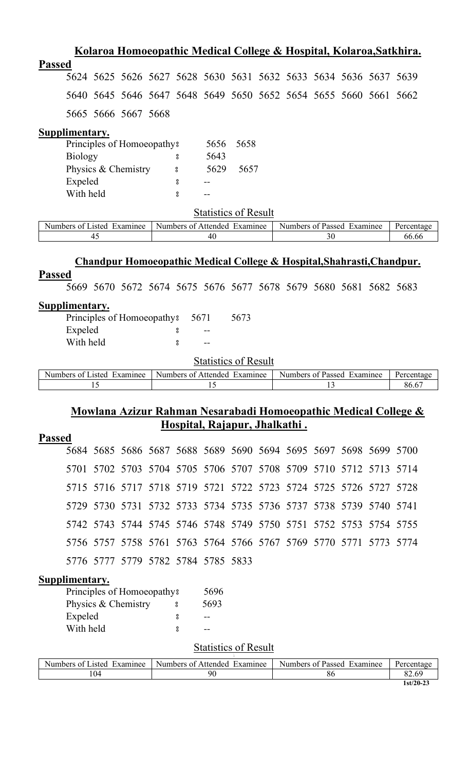|                                                                        |                |    |                                        |  |          |                                                                  |      |  |    |                            | Kolaroa Homoeopathic Medical College & Hospital, Kolaroa, Satkhira. |
|------------------------------------------------------------------------|----------------|----|----------------------------------------|--|----------|------------------------------------------------------------------|------|--|----|----------------------------|---------------------------------------------------------------------|
| <b>Passed</b>                                                          |                |    |                                        |  |          |                                                                  |      |  |    |                            |                                                                     |
|                                                                        |                |    |                                        |  |          | 5624 5625 5626 5627 5628 5630 5631 5632 5633 5634 5636 5637 5639 |      |  |    |                            |                                                                     |
|                                                                        |                |    |                                        |  |          | 5640 5645 5646 5647 5648 5649 5650 5652 5654 5655 5660 5661 5662 |      |  |    |                            |                                                                     |
|                                                                        |                |    | 5665 5666 5667 5668                    |  |          |                                                                  |      |  |    |                            |                                                                     |
| Supplimentary.                                                         |                |    |                                        |  |          |                                                                  |      |  |    |                            |                                                                     |
|                                                                        |                |    | Principles of Homoeopathy <sup>3</sup> |  |          | 5656                                                             | 5658 |  |    |                            |                                                                     |
|                                                                        | <b>Biology</b> |    |                                        |  | 8        | 5643                                                             |      |  |    |                            |                                                                     |
|                                                                        |                |    | Physics & Chemistry                    |  | $\rm ^o$ | 5629                                                             | 5657 |  |    |                            |                                                                     |
|                                                                        | Expeled        |    |                                        |  | 8        |                                                                  |      |  |    |                            |                                                                     |
|                                                                        | With held      |    |                                        |  | å        |                                                                  |      |  |    |                            |                                                                     |
|                                                                        |                |    |                                        |  |          | <b>Statistics of Result</b>                                      |      |  |    |                            |                                                                     |
|                                                                        |                |    | Numbers of Listed Examinee             |  |          | Numbers of Attended Examinee                                     |      |  |    | Numbers of Passed Examinee | Percentage                                                          |
|                                                                        |                | 45 |                                        |  |          | 40                                                               |      |  | 30 |                            | 66.66                                                               |
| Chandpur Homoeopathic Medical College & Hospital, Shahrasti, Chandpur. |                |    |                                        |  |          |                                                                  |      |  |    |                            |                                                                     |
| <b>Passed</b>                                                          |                |    |                                        |  |          |                                                                  |      |  |    |                            |                                                                     |
|                                                                        |                |    |                                        |  |          | 5669 5670 5672 5674 5675 5676 5677 5678 5679 5680 5681 5682 5683 |      |  |    |                            |                                                                     |

## **Supplimentary.**

| Principles of Homoeopathy 85671 |       | 5673 |
|---------------------------------|-------|------|
| Expeled                         | $- -$ |      |
| With held                       | --    |      |

#### **Statistics of Result**

| Examinee<br>Numbers<br>usted.<br>ΩŤ | Examinee<br>Affended<br>Numbers of | Examinee<br>Numbers of<br>Passed | Percentage |
|-------------------------------------|------------------------------------|----------------------------------|------------|
|                                     |                                    | . .                              | 86.6       |

## **Mowlana Azizur Rahman Nesarabadi Homoeopathic Medical College & Hospital, Rajapur, Jhalkathi .**

| D<br>rassed |
|-------------|
|-------------|

|  |  | 5684 5685 5686 5687 5688 5689 5690 5694 5695 5697 5698 5699 5700 |  |  |  |  |
|--|--|------------------------------------------------------------------|--|--|--|--|
|  |  | 5701 5702 5703 5704 5705 5706 5707 5708 5709 5710 5712 5713 5714 |  |  |  |  |
|  |  | 5715 5716 5717 5718 5719 5721 5722 5723 5724 5725 5726 5727 5728 |  |  |  |  |
|  |  | 5729 5730 5731 5732 5733 5734 5735 5736 5737 5738 5739 5740 5741 |  |  |  |  |
|  |  | 5742 5743 5744 5745 5746 5748 5749 5750 5751 5752 5753 5754 5755 |  |  |  |  |
|  |  | 5756 5757 5758 5761 5763 5764 5766 5767 5769 5770 5771 5773 5774 |  |  |  |  |
|  |  | 5776 5777 5779 5782 5784 5785 5833                               |  |  |  |  |

## **Supplimentary.**

| Principles of Homoeopathy <sup>8</sup><br>5696 |   |      |  |  |  |  |  |  |  |
|------------------------------------------------|---|------|--|--|--|--|--|--|--|
| Physics & Chemistry                            | 8 | 5693 |  |  |  |  |  |  |  |
| Expeled                                        | ႙ |      |  |  |  |  |  |  |  |
| With held                                      | ႙ |      |  |  |  |  |  |  |  |

| Numbers of Listed Examinee | Examinee<br>Numbers of Attended | Numbers of Passed<br>Examinee | Percentage |
|----------------------------|---------------------------------|-------------------------------|------------|
| 104                        | 90                              | oс                            |            |
|                            |                                 |                               | 1st/20-23  |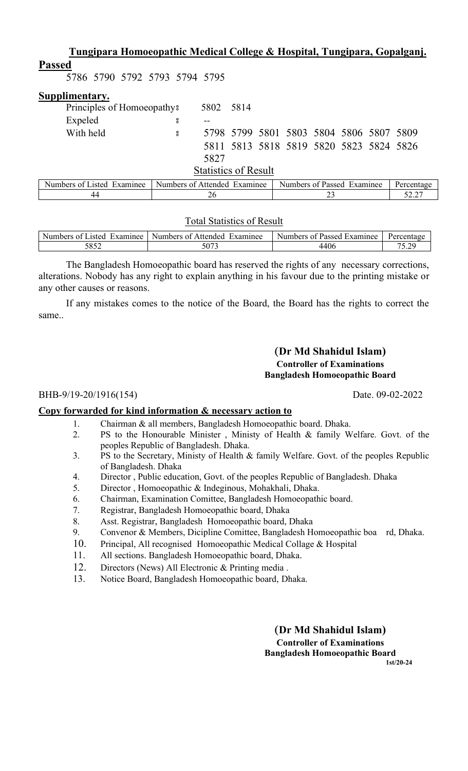| Tungipara Homoeopathic Medical College & Hospital, Tungipara, Gopalganj. |                              |           |  |  |                                         |    |  |  |            |
|--------------------------------------------------------------------------|------------------------------|-----------|--|--|-----------------------------------------|----|--|--|------------|
| <b>Passed</b>                                                            |                              |           |  |  |                                         |    |  |  |            |
| 5786 5790 5792 5793 5794 5795                                            |                              |           |  |  |                                         |    |  |  |            |
| Supplimentary.                                                           |                              |           |  |  |                                         |    |  |  |            |
| Principles of Homoeopathy <sup>3</sup>                                   |                              | 5802 5814 |  |  |                                         |    |  |  |            |
| Expeled                                                                  | 8                            |           |  |  |                                         |    |  |  |            |
| With held                                                                | 8                            |           |  |  | 5798 5799 5801 5803 5804 5806 5807 5809 |    |  |  |            |
|                                                                          |                              |           |  |  | 5811 5813 5818 5819 5820 5823 5824 5826 |    |  |  |            |
|                                                                          |                              | 5827      |  |  |                                         |    |  |  |            |
| <b>Statistics of Result</b>                                              |                              |           |  |  |                                         |    |  |  |            |
| Numbers of Listed Examinee                                               | Numbers of Attended Examinee |           |  |  | Numbers of Passed Examinee              |    |  |  | Percentage |
| 44                                                                       |                              | 26        |  |  |                                         | 23 |  |  | 52.27      |

#### Total Statistics of Result

| $\sim$ $\sim$<br>Numbers<br>Examinee<br>.1sted<br>. വ | Examinee<br>Numbers of $\lambda$<br>Attended | . Examinee<br><b>Numbers</b><br>0Ť.<br>Passed | <b>Percentage</b> |
|-------------------------------------------------------|----------------------------------------------|-----------------------------------------------|-------------------|
| ເວເາ<br>∠ں∪ر                                          | د صدر ح<br>3073                              | 440 <sub>0</sub>                              | .                 |

The Bangladesh Homoeopathic board has reserved the rights of any necessary corrections, alterations. Nobody has any right to explain anything in his favour due to the printing mistake or any other causes or reasons.

If any mistakes comes to the notice of the Board, the Board has the rights to correct the same..

#### **(Dr Md Shahidul Islam) Controller of Examinations Bangladesh Homoeopathic Board**

#### BHB-9/19-20/1916(154) Date. 09-02-2022

**Copy forwarded for kind information & necessary action to**

- 1. Chairman & all members, Bangladesh Homoeopathic board. Dhaka.
- 2. PS to the Honourable Minister , Ministy of Health & family Welfare. Govt. of the peoples Republic of Bangladesh. Dhaka.
- 3. PS to the Secretary, Ministy of Health & family Welfare. Govt. of the peoples Republic of Bangladesh. Dhaka
- 4. Director , Public education, Govt. of the peoples Republic of Bangladesh. Dhaka
- 5. Director , Homoeopathic & Indeginous, Mohakhali, Dhaka.
- 6. Chairman, Examination Comittee, Bangladesh Homoeopathic board.
- 7. Registrar, Bangladesh Homoeopathic board, Dhaka
- 8. Asst. Registrar, Bangladesh Homoeopathic board, Dhaka
- 9. Convenor & Members, Dicipline Comittee, Bangladesh Homoeopathic boa rd, Dhaka.
- 10. Principal, All recognised Homoeopathic Medical Collage & Hospital
- 11. All sections. Bangladesh Homoeopathic board, Dhaka.
- 12. Directors (News) All Electronic & Printing media .
- 13. Notice Board, Bangladesh Homoeopathic board, Dhaka.

**(Dr Md Shahidul Islam) Controller of Examinations Bangladesh Homoeopathic Board 1st/20-24**